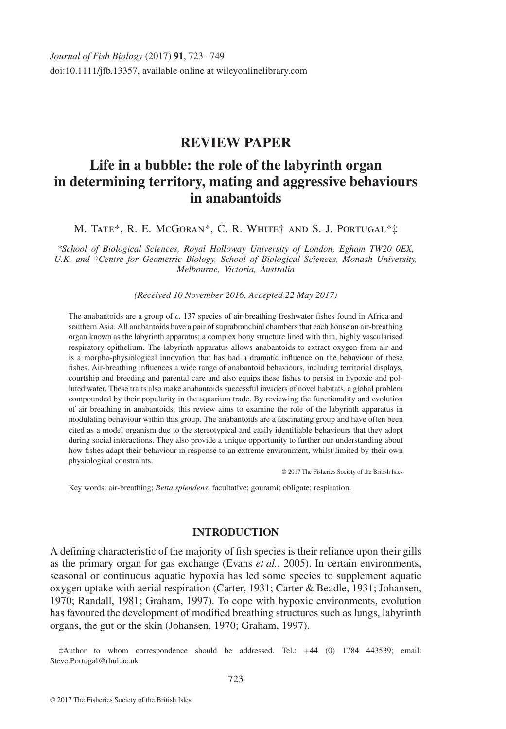# **REVIEW PAPER**

# **Life in a bubble: the role of the labyrinth organ in determining territory, mating and aggressive behaviours in anabantoids**

M. Tate\*, R. E. McGoran\*, C. R. White† and S. J. Portugal\*‡

*\*School of Biological Sciences, Royal Holloway University of London, Egham TW20 0EX, U.K. and* †*Centre for Geometric Biology, School of Biological Sciences, Monash University, Melbourne, Victoria, Australia*

*(Received 10 November 2016, Accepted 22 May 2017)*

The anabantoids are a group of *c.* 137 species of air-breathing freshwater ishes found in Africa and southern Asia. All anabantoids have a pair of suprabranchial chambers that each house an air-breathing organ known as the labyrinth apparatus: a complex bony structure lined with thin, highly vascularised respiratory epithelium. The labyrinth apparatus allows anabantoids to extract oxygen from air and is a morpho-physiological innovation that has had a dramatic inluence on the behaviour of these fishes. Air-breathing influences a wide range of anabantoid behaviours, including territorial displays, courtship and breeding and parental care and also equips these ishes to persist in hypoxic and polluted water. These traits also make anabantoids successful invaders of novel habitats, a global problem compounded by their popularity in the aquarium trade. By reviewing the functionality and evolution of air breathing in anabantoids, this review aims to examine the role of the labyrinth apparatus in modulating behaviour within this group. The anabantoids are a fascinating group and have often been cited as a model organism due to the stereotypical and easily identifiable behaviours that they adopt during social interactions. They also provide a unique opportunity to further our understanding about how ishes adapt their behaviour in response to an extreme environment, whilst limited by their own physiological constraints.

© 2017 The Fisheries Society of the British Isles

Key words: air-breathing; *Betta splendens*; facultative; gourami; obligate; respiration.

#### **INTRODUCTION**

A deining characteristic of the majority of ish species is their reliance upon their gills as the primary organ for gas exchange (Evans *et al.*, 2005). In certain environments, seasonal or continuous aquatic hypoxia has led some species to supplement aquatic oxygen uptake with aerial respiration (Carter, 1931; Carter & Beadle, 1931; Johansen, 1970; Randall, 1981; Graham, 1997). To cope with hypoxic environments, evolution has favoured the development of modified breathing structures such as lungs, labyrinth organs, the gut or the skin (Johansen, 1970; Graham, 1997).

‡Author to whom correspondence should be addressed. Tel.: +44 (0) 1784 443539; email: Steve.Portugal@rhul.ac.uk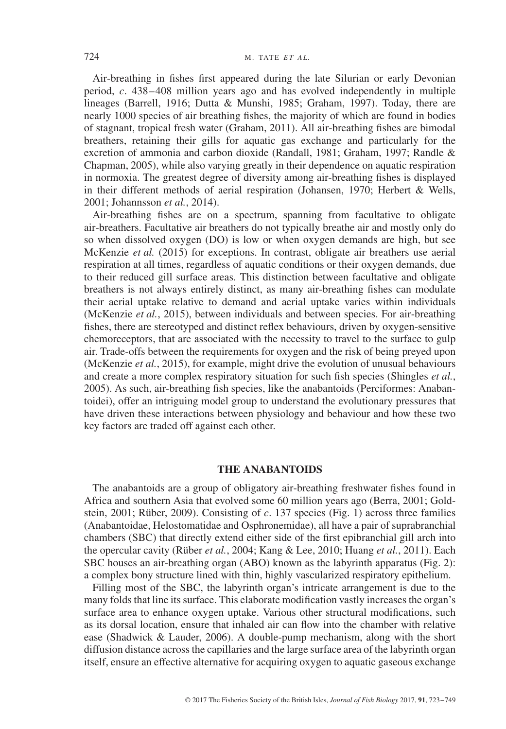Air-breathing in ishes irst appeared during the late Silurian or early Devonian period, *c*. 438–408 million years ago and has evolved independently in multiple lineages (Barrell, 1916; Dutta & Munshi, 1985; Graham, 1997). Today, there are nearly 1000 species of air breathing ishes, the majority of which are found in bodies of stagnant, tropical fresh water (Graham, 2011). All air-breathing ishes are bimodal breathers, retaining their gills for aquatic gas exchange and particularly for the excretion of ammonia and carbon dioxide (Randall, 1981; Graham, 1997; Randle & Chapman, 2005), while also varying greatly in their dependence on aquatic respiration in normoxia. The greatest degree of diversity among air-breathing ishes is displayed in their different methods of aerial respiration (Johansen, 1970; Herbert & Wells, 2001; Johannsson *et al.*, 2014).

Air-breathing ishes are on a spectrum, spanning from facultative to obligate air-breathers. Facultative air breathers do not typically breathe air and mostly only do so when dissolved oxygen (DO) is low or when oxygen demands are high, but see McKenzie *et al.* (2015) for exceptions. In contrast, obligate air breathers use aerial respiration at all times, regardless of aquatic conditions or their oxygen demands, due to their reduced gill surface areas. This distinction between facultative and obligate breathers is not always entirely distinct, as many air-breathing ishes can modulate their aerial uptake relative to demand and aerial uptake varies within individuals (McKenzie *et al.*, 2015), between individuals and between species. For air-breathing fishes, there are stereotyped and distinct reflex behaviours, driven by oxygen-sensitive chemoreceptors, that are associated with the necessity to travel to the surface to gulp air. Trade-offs between the requirements for oxygen and the risk of being preyed upon (McKenzie *et al.*, 2015), for example, might drive the evolution of unusual behaviours and create a more complex respiratory situation for such ish species (Shingles *et al.*, 2005). As such, air-breathing fish species, like the anabantoids (Perciformes: Anabantoidei), offer an intriguing model group to understand the evolutionary pressures that have driven these interactions between physiology and behaviour and how these two key factors are traded off against each other.

#### **THE ANABANTOIDS**

The anabantoids are a group of obligatory air-breathing freshwater ishes found in Africa and southern Asia that evolved some 60 million years ago (Berra, 2001; Goldstein, 2001; Rüber, 2009). Consisting of *c*. 137 species (Fig. 1) across three families (Anabantoidae, Helostomatidae and Osphronemidae), all have a pair of suprabranchial chambers (SBC) that directly extend either side of the irst epibranchial gill arch into the opercular cavity (Rüber *et al.*, 2004; Kang & Lee, 2010; Huang *et al.*, 2011). Each SBC houses an air-breathing organ (ABO) known as the labyrinth apparatus (Fig. 2): a complex bony structure lined with thin, highly vascularized respiratory epithelium.

Filling most of the SBC, the labyrinth organ's intricate arrangement is due to the many folds that line its surface. This elaborate modiication vastly increases the organ's surface area to enhance oxygen uptake. Various other structural modifications, such as its dorsal location, ensure that inhaled air can low into the chamber with relative ease (Shadwick & Lauder, 2006). A double-pump mechanism, along with the short diffusion distance across the capillaries and the large surface area of the labyrinth organ itself, ensure an effective alternative for acquiring oxygen to aquatic gaseous exchange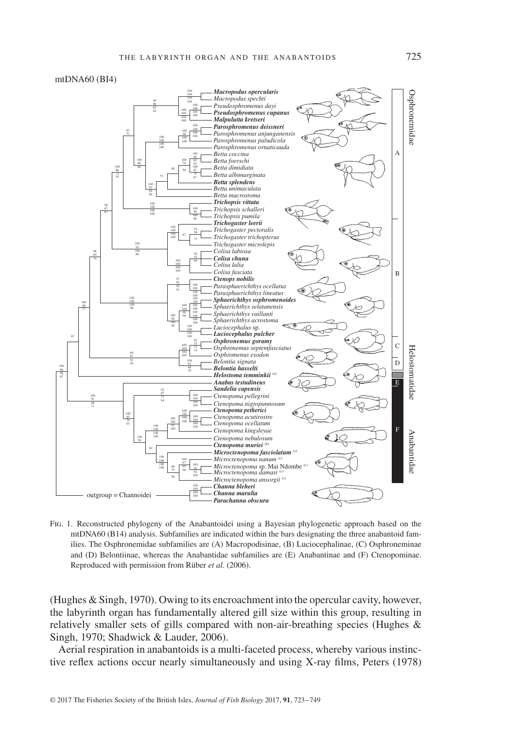#### mtDNA60 (BI4)



Fig. 1. Reconstructed phylogeny of the Anabantoidei using a Bayesian phylogenetic approach based on the mtDNA60 (B14) analysis. Subfamilies are indicated within the bars designating the three anabantoid families. The Osphronemidae subfamilies are (A) Macropodisinae, (B) Luciocephalinae, (C) Osphroneminae and (D) Belontiinae, whereas the Anabantidae subfamilies are (E) Anabantinae and (F) Ctenopominae. Reproduced with permission from Rüber *et al.* (2006).

(Hughes & Singh, 1970). Owing to its encroachment into the opercular cavity, however, the labyrinth organ has fundamentally altered gill size within this group, resulting in relatively smaller sets of gills compared with non-air-breathing species (Hughes & Singh, 1970; Shadwick & Lauder, 2006).

Aerial respiration in anabantoids is a multi-faceted process, whereby various instinctive reflex actions occur nearly simultaneously and using X-ray films, Peters (1978)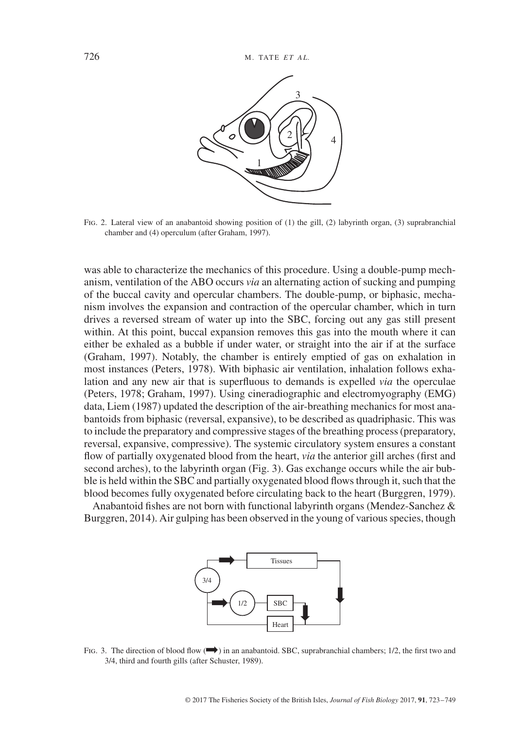

Fig. 2. Lateral view of an anabantoid showing position of (1) the gill, (2) labyrinth organ, (3) suprabranchial chamber and (4) operculum (after Graham, 1997).

was able to characterize the mechanics of this procedure. Using a double-pump mechanism, ventilation of the ABO occurs *via* an alternating action of sucking and pumping of the buccal cavity and opercular chambers. The double-pump, or biphasic, mechanism involves the expansion and contraction of the opercular chamber, which in turn drives a reversed stream of water up into the SBC, forcing out any gas still present within. At this point, buccal expansion removes this gas into the mouth where it can either be exhaled as a bubble if under water, or straight into the air if at the surface (Graham, 1997). Notably, the chamber is entirely emptied of gas on exhalation in most instances (Peters, 1978). With biphasic air ventilation, inhalation follows exhalation and any new air that is superluous to demands is expelled *via* the operculae (Peters, 1978; Graham, 1997). Using cineradiographic and electromyography (EMG) data, Liem (1987) updated the description of the air-breathing mechanics for most anabantoids from biphasic (reversal, expansive), to be described as quadriphasic. This was to include the preparatory and compressive stages of the breathing process (preparatory, reversal, expansive, compressive). The systemic circulatory system ensures a constant flow of partially oxygenated blood from the heart, *via* the anterior gill arches (first and second arches), to the labyrinth organ (Fig. 3). Gas exchange occurs while the air bubble is held within the SBC and partially oxygenated blood flows through it, such that the blood becomes fully oxygenated before circulating back to the heart (Burggren, 1979).

Anabantoid fishes are not born with functional labyrinth organs (Mendez-Sanchez  $\&$ Burggren, 2014). Air gulping has been observed in the young of various species, though



FIG. 3. The direction of blood flow  $\implies$  in an anabantoid. SBC, suprabranchial chambers; 1/2, the first two and 3/4, third and fourth gills (after Schuster, 1989).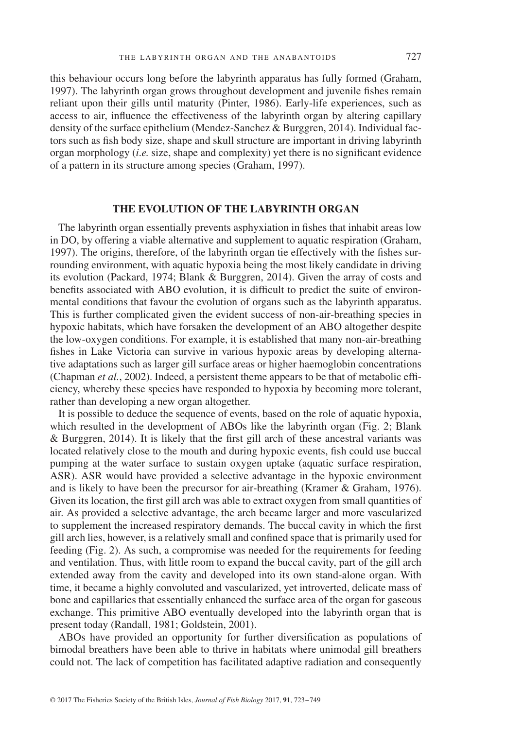this behaviour occurs long before the labyrinth apparatus has fully formed (Graham, 1997). The labyrinth organ grows throughout development and juvenile ishes remain reliant upon their gills until maturity (Pinter, 1986). Early-life experiences, such as access to air, inluence the effectiveness of the labyrinth organ by altering capillary density of the surface epithelium (Mendez-Sanchez & Burggren, 2014). Individual factors such as ish body size, shape and skull structure are important in driving labyrinth organ morphology *(i.e.* size, shape and complexity) yet there is no significant evidence of a pattern in its structure among species (Graham, 1997).

# **THE EVOLUTION OF THE LABYRINTH ORGAN**

The labyrinth organ essentially prevents asphyxiation in ishes that inhabit areas low in DO, by offering a viable alternative and supplement to aquatic respiration (Graham, 1997). The origins, therefore, of the labyrinth organ tie effectively with the ishes surrounding environment, with aquatic hypoxia being the most likely candidate in driving its evolution (Packard, 1974; Blank & Burggren, 2014). Given the array of costs and benefits associated with ABO evolution, it is difficult to predict the suite of environmental conditions that favour the evolution of organs such as the labyrinth apparatus. This is further complicated given the evident success of non-air-breathing species in hypoxic habitats, which have forsaken the development of an ABO altogether despite the low-oxygen conditions. For example, it is established that many non-air-breathing fishes in Lake Victoria can survive in various hypoxic areas by developing alternative adaptations such as larger gill surface areas or higher haemoglobin concentrations (Chapman *et al.*, 2002). Indeed, a persistent theme appears to be that of metabolic eficiency, whereby these species have responded to hypoxia by becoming more tolerant, rather than developing a new organ altogether.

It is possible to deduce the sequence of events, based on the role of aquatic hypoxia, which resulted in the development of ABOs like the labyrinth organ (Fig. 2; Blank  $\&$  Burggren, 2014). It is likely that the first gill arch of these ancestral variants was located relatively close to the mouth and during hypoxic events, fish could use buccal pumping at the water surface to sustain oxygen uptake (aquatic surface respiration, ASR). ASR would have provided a selective advantage in the hypoxic environment and is likely to have been the precursor for air-breathing (Kramer & Graham, 1976). Given its location, the irst gill arch was able to extract oxygen from small quantities of air. As provided a selective advantage, the arch became larger and more vascularized to supplement the increased respiratory demands. The buccal cavity in which the first gill arch lies, however, is a relatively small and conined space that is primarily used for feeding (Fig. 2). As such, a compromise was needed for the requirements for feeding and ventilation. Thus, with little room to expand the buccal cavity, part of the gill arch extended away from the cavity and developed into its own stand-alone organ. With time, it became a highly convoluted and vascularized, yet introverted, delicate mass of bone and capillaries that essentially enhanced the surface area of the organ for gaseous exchange. This primitive ABO eventually developed into the labyrinth organ that is present today (Randall, 1981; Goldstein, 2001).

ABOs have provided an opportunity for further diversification as populations of bimodal breathers have been able to thrive in habitats where unimodal gill breathers could not. The lack of competition has facilitated adaptive radiation and consequently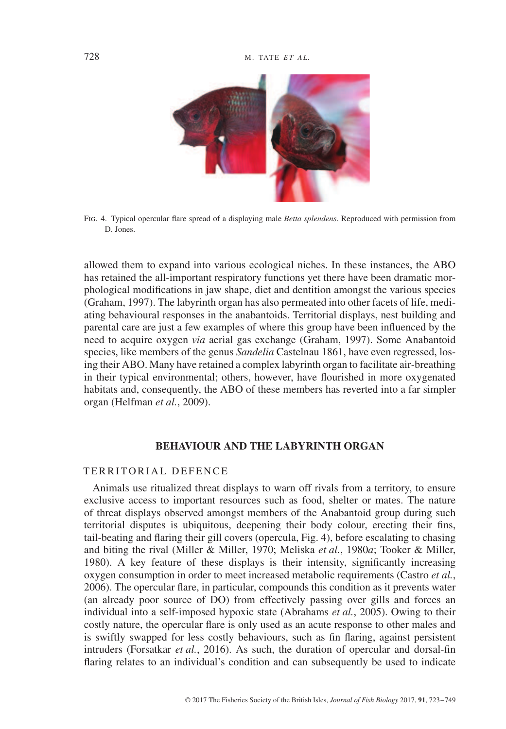

Fig. 4. Typical opercular lare spread of a displaying male *Betta splendens*. Reproduced with permission from D. Jones.

allowed them to expand into various ecological niches. In these instances, the ABO has retained the all-important respiratory functions yet there have been dramatic morphological modiications in jaw shape, diet and dentition amongst the various species (Graham, 1997). The labyrinth organ has also permeated into other facets of life, mediating behavioural responses in the anabantoids. Territorial displays, nest building and parental care are just a few examples of where this group have been inluenced by the need to acquire oxygen *via* aerial gas exchange (Graham, 1997). Some Anabantoid species, like members of the genus *Sandelia* Castelnau 1861, have even regressed, losing their ABO. Many have retained a complex labyrinth organ to facilitate air-breathing in their typical environmental; others, however, have lourished in more oxygenated habitats and, consequently, the ABO of these members has reverted into a far simpler organ (Helfman *et al.*, 2009).

## **BEHAVIOUR AND THE LABYRINTH ORGAN**

#### TERRITORIAL DEFENCE

Animals use ritualized threat displays to warn off rivals from a territory, to ensure exclusive access to important resources such as food, shelter or mates. The nature of threat displays observed amongst members of the Anabantoid group during such territorial disputes is ubiquitous, deepening their body colour, erecting their ins, tail-beating and laring their gill covers (opercula, Fig. 4), before escalating to chasing and biting the rival (Miller & Miller, 1970; Meliska *et al.*, 1980*a*; Tooker & Miller, 1980). A key feature of these displays is their intensity, significantly increasing oxygen consumption in order to meet increased metabolic requirements (Castro *et al.*, 2006). The opercular lare, in particular, compounds this condition as it prevents water (an already poor source of DO) from effectively passing over gills and forces an individual into a self-imposed hypoxic state (Abrahams *et al.*, 2005). Owing to their costly nature, the opercular flare is only used as an acute response to other males and is swiftly swapped for less costly behaviours, such as fin flaring, against persistent intruders (Forsatkar *et al.*, 2016). As such, the duration of opercular and dorsal-in flaring relates to an individual's condition and can subsequently be used to indicate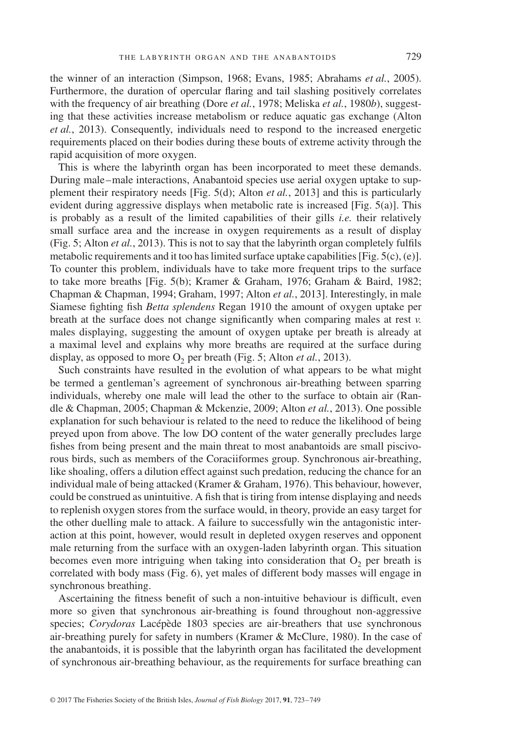the winner of an interaction (Simpson, 1968; Evans, 1985; Abrahams *et al.*, 2005). Furthermore, the duration of opercular flaring and tail slashing positively correlates with the frequency of air breathing (Dore *et al.*, 1978; Meliska *et al.*, 1980*b*), suggesting that these activities increase metabolism or reduce aquatic gas exchange (Alton *et al.*, 2013). Consequently, individuals need to respond to the increased energetic requirements placed on their bodies during these bouts of extreme activity through the rapid acquisition of more oxygen.

This is where the labyrinth organ has been incorporated to meet these demands. During male–male interactions, Anabantoid species use aerial oxygen uptake to supplement their respiratory needs [Fig. 5(d); Alton *et al.*, 2013] and this is particularly evident during aggressive displays when metabolic rate is increased [Fig. 5(a)]. This is probably as a result of the limited capabilities of their gills *i.e.* their relatively small surface area and the increase in oxygen requirements as a result of display (Fig. 5; Alton *et al.*, 2013). This is not to say that the labyrinth organ completely fulils metabolic requirements and it too has limited surface uptake capabilities [Fig. 5(c), (e)]. To counter this problem, individuals have to take more frequent trips to the surface to take more breaths [Fig. 5(b); Kramer & Graham, 1976; Graham & Baird, 1982; Chapman & Chapman, 1994; Graham, 1997; Alton *et al.*, 2013]. Interestingly, in male Siamese ighting ish *Betta splendens* Regan 1910 the amount of oxygen uptake per breath at the surface does not change significantly when comparing males at rest  $v$ . males displaying, suggesting the amount of oxygen uptake per breath is already at a maximal level and explains why more breaths are required at the surface during display, as opposed to more  $O_2$  per breath (Fig. 5; Alton *et al.*, 2013).

Such constraints have resulted in the evolution of what appears to be what might be termed a gentleman's agreement of synchronous air-breathing between sparring individuals, whereby one male will lead the other to the surface to obtain air (Randle & Chapman, 2005; Chapman & Mckenzie, 2009; Alton *et al.*, 2013). One possible explanation for such behaviour is related to the need to reduce the likelihood of being preyed upon from above. The low DO content of the water generally precludes large fishes from being present and the main threat to most anabantoids are small piscivorous birds, such as members of the Coraciiformes group. Synchronous air-breathing, like shoaling, offers a dilution effect against such predation, reducing the chance for an individual male of being attacked (Kramer & Graham, 1976). This behaviour, however, could be construed as unintuitive. A fish that is tiring from intense displaying and needs to replenish oxygen stores from the surface would, in theory, provide an easy target for the other duelling male to attack. A failure to successfully win the antagonistic interaction at this point, however, would result in depleted oxygen reserves and opponent male returning from the surface with an oxygen-laden labyrinth organ. This situation becomes even more intriguing when taking into consideration that  $O_2$  per breath is correlated with body mass (Fig. 6), yet males of different body masses will engage in synchronous breathing.

Ascertaining the itness beneit of such a non-intuitive behaviour is dificult, even more so given that synchronous air-breathing is found throughout non-aggressive species; *Corydoras* Lacépède 1803 species are air-breathers that use synchronous air-breathing purely for safety in numbers (Kramer & McClure, 1980). In the case of the anabantoids, it is possible that the labyrinth organ has facilitated the development of synchronous air-breathing behaviour, as the requirements for surface breathing can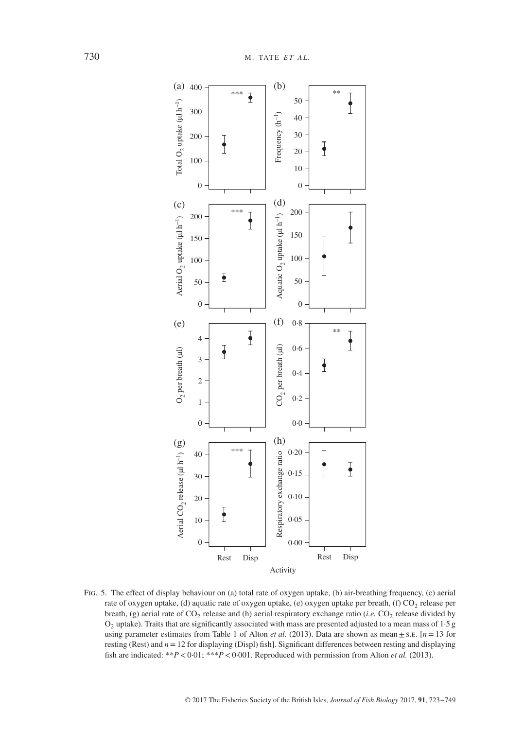

Fig. 5. The effect of display behaviour on (a) total rate of oxygen uptake, (b) air-breathing frequency, (c) aerial rate of oxygen uptake, (d) aquatic rate of oxygen uptake, (e) oxygen uptake per breath, (f)  $CO_2$  release per breath, (g) aerial rate of CO<sub>2</sub> release and (h) aerial respiratory exchange ratio (*i.e.* CO<sub>2</sub> release divided by  $O<sub>2</sub>$  uptake). Traits that are significantly associated with mass are presented adjusted to a mean mass of 1.5 g using parameter estimates from Table 1 of Alton *et al.* (2013). Data are shown as mean  $\pm$  s.e. [ $n=13$  for resting (Rest) and  $n=12$  for displaying (Displ) fish]. Significant differences between resting and displaying ish are indicated: \*\**P<*0·01; \*\*\**P<*0·001. Reproduced with permission from Alton *et al.* (2013).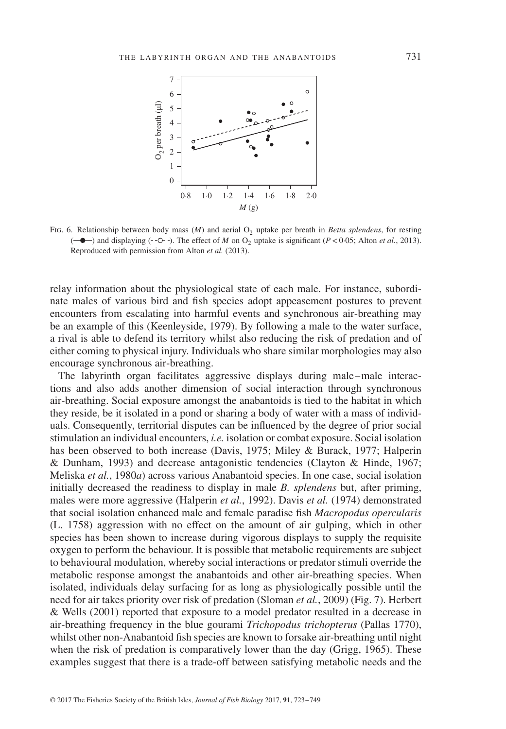

Fig. 6. Relationship between body mass (*M*) and aerial O<sub>2</sub> uptake per breath in *Betta splendens*, for resting  $(-\bullet -)$  and displaying  $(-\circ -)$ . The effect of *M* on  $O_2$  uptake is significant (*P*<0·05; Alton *et al.*, 2013). Reproduced with permission from Alton *et al.* (2013).

relay information about the physiological state of each male. For instance, subordinate males of various bird and ish species adopt appeasement postures to prevent encounters from escalating into harmful events and synchronous air-breathing may be an example of this (Keenleyside, 1979). By following a male to the water surface, a rival is able to defend its territory whilst also reducing the risk of predation and of either coming to physical injury. Individuals who share similar morphologies may also encourage synchronous air-breathing.

The labyrinth organ facilitates aggressive displays during male–male interactions and also adds another dimension of social interaction through synchronous air-breathing. Social exposure amongst the anabantoids is tied to the habitat in which they reside, be it isolated in a pond or sharing a body of water with a mass of individuals. Consequently, territorial disputes can be inluenced by the degree of prior social stimulation an individual encounters, *i.e.* isolation or combat exposure. Social isolation has been observed to both increase (Davis, 1975; Miley & Burack, 1977; Halperin & Dunham, 1993) and decrease antagonistic tendencies (Clayton & Hinde, 1967; Meliska *et al.*, 1980*a*) across various Anabantoid species. In one case, social isolation initially decreased the readiness to display in male *B. splendens* but, after priming, males were more aggressive (Halperin *et al.*, 1992). Davis *et al.* (1974) demonstrated that social isolation enhanced male and female paradise ish *Macropodus opercularis* (L. 1758) aggression with no effect on the amount of air gulping, which in other species has been shown to increase during vigorous displays to supply the requisite oxygen to perform the behaviour. It is possible that metabolic requirements are subject to behavioural modulation, whereby social interactions or predator stimuli override the metabolic response amongst the anabantoids and other air-breathing species. When isolated, individuals delay surfacing for as long as physiologically possible until the need for air takes priority over risk of predation (Sloman *et al.*, 2009) (Fig. 7). Herbert & Wells (2001) reported that exposure to a model predator resulted in a decrease in air-breathing frequency in the blue gourami *Trichopodus trichopterus* (Pallas 1770), whilst other non-Anabantoid ish species are known to forsake air-breathing until night when the risk of predation is comparatively lower than the day (Grigg, 1965). These examples suggest that there is a trade-off between satisfying metabolic needs and the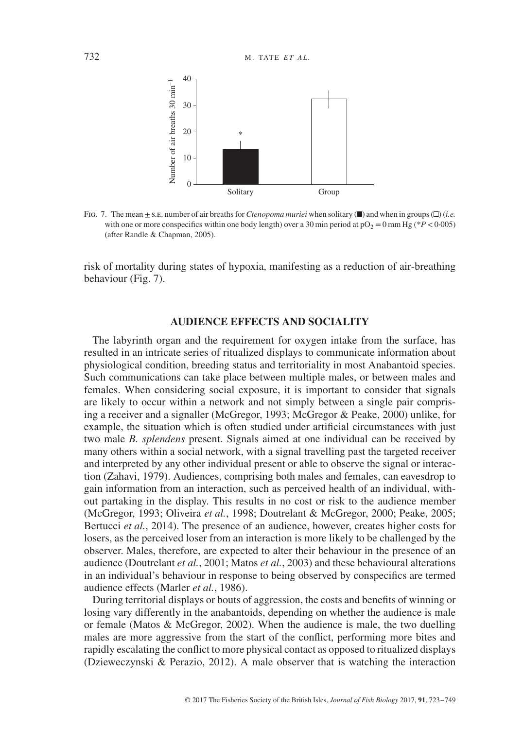

Fig. 7. The mean  $\pm$  s.e. number of air breaths for *Ctenopoma muriei* when solitary ( $\blacksquare$ ) and when in groups ( $\Box$ ) (*i.e.* with one or more conspecifics within one body length) over a 30 min period at  $pO<sub>2</sub> = 0$  mm Hg (\**P* < 0·005) (after Randle & Chapman, 2005).

risk of mortality during states of hypoxia, manifesting as a reduction of air-breathing behaviour (Fig. 7).

# **AUDIENCE EFFECTS AND SOCIALITY**

The labyrinth organ and the requirement for oxygen intake from the surface, has resulted in an intricate series of ritualized displays to communicate information about physiological condition, breeding status and territoriality in most Anabantoid species. Such communications can take place between multiple males, or between males and females. When considering social exposure, it is important to consider that signals are likely to occur within a network and not simply between a single pair comprising a receiver and a signaller (McGregor, 1993; McGregor & Peake, 2000) unlike, for example, the situation which is often studied under artiicial circumstances with just two male *B. splendens* present. Signals aimed at one individual can be received by many others within a social network, with a signal travelling past the targeted receiver and interpreted by any other individual present or able to observe the signal or interaction (Zahavi, 1979). Audiences, comprising both males and females, can eavesdrop to gain information from an interaction, such as perceived health of an individual, without partaking in the display. This results in no cost or risk to the audience member (McGregor, 1993; Oliveira *et al.*, 1998; Doutrelant & McGregor, 2000; Peake, 2005; Bertucci *et al.*, 2014). The presence of an audience, however, creates higher costs for losers, as the perceived loser from an interaction is more likely to be challenged by the observer. Males, therefore, are expected to alter their behaviour in the presence of an audience (Doutrelant *et al.*, 2001; Matos *et al.*, 2003) and these behavioural alterations in an individual's behaviour in response to being observed by conspecifics are termed audience effects (Marler *et al.*, 1986).

During territorial displays or bouts of aggression, the costs and benefits of winning or losing vary differently in the anabantoids, depending on whether the audience is male or female (Matos & McGregor, 2002). When the audience is male, the two duelling males are more aggressive from the start of the conlict, performing more bites and rapidly escalating the conflict to more physical contact as opposed to ritualized displays (Dzieweczynski & Perazio, 2012). A male observer that is watching the interaction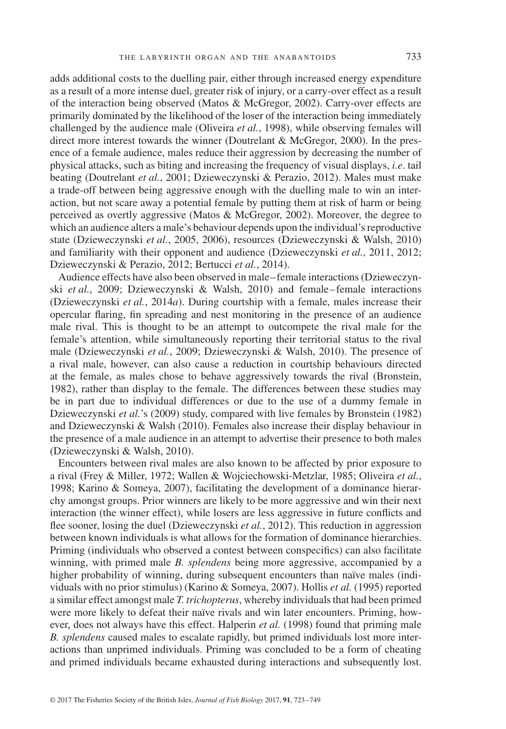adds additional costs to the duelling pair, either through increased energy expenditure as a result of a more intense duel, greater risk of injury, or a carry-over effect as a result of the interaction being observed (Matos & McGregor, 2002). Carry-over effects are primarily dominated by the likelihood of the loser of the interaction being immediately challenged by the audience male (Oliveira *et al.*, 1998), while observing females will direct more interest towards the winner (Doutrelant & McGregor, 2000). In the presence of a female audience, males reduce their aggression by decreasing the number of physical attacks, such as biting and increasing the frequency of visual displays, *i.e*. tail beating (Doutrelant *et al.*, 2001; Dzieweczynski & Perazio, 2012). Males must make a trade-off between being aggressive enough with the duelling male to win an interaction, but not scare away a potential female by putting them at risk of harm or being perceived as overtly aggressive (Matos & McGregor, 2002). Moreover, the degree to which an audience alters a male's behaviour depends upon the individual's reproductive state (Dzieweczynski *et al.*, 2005, 2006), resources (Dzieweczynski & Walsh, 2010) and familiarity with their opponent and audience (Dzieweczynski *et al.*, 2011, 2012; Dzieweczynski & Perazio, 2012; Bertucci *et al.*, 2014).

Audience effects have also been observed in male–female interactions (Dzieweczynski *et al.*, 2009; Dzieweczynski & Walsh, 2010) and female–female interactions (Dzieweczynski *et al.*, 2014*a*). During courtship with a female, males increase their opercular laring, in spreading and nest monitoring in the presence of an audience male rival. This is thought to be an attempt to outcompete the rival male for the female's attention, while simultaneously reporting their territorial status to the rival male (Dzieweczynski *et al.*, 2009; Dzieweczynski & Walsh, 2010). The presence of a rival male, however, can also cause a reduction in courtship behaviours directed at the female, as males chose to behave aggressively towards the rival (Bronstein, 1982), rather than display to the female. The differences between these studies may be in part due to individual differences or due to the use of a dummy female in Dzieweczynski *et al.*'s (2009) study, compared with live females by Bronstein (1982) and Dzieweczynski & Walsh (2010). Females also increase their display behaviour in the presence of a male audience in an attempt to advertise their presence to both males (Dzieweczynski & Walsh, 2010).

Encounters between rival males are also known to be affected by prior exposure to a rival (Frey & Miller, 1972; Wallen & Wojciechowski-Metzlar, 1985; Oliveira *et al.*, 1998; Karino & Someya, 2007), facilitating the development of a dominance hierarchy amongst groups. Prior winners are likely to be more aggressive and win their next interaction (the winner effect), while losers are less aggressive in future conlicts and flee sooner, losing the duel (Dzieweczynski et al., 2012). This reduction in aggression between known individuals is what allows for the formation of dominance hierarchies. Priming (individuals who observed a contest between conspecifics) can also facilitate winning, with primed male *B. splendens* being more aggressive, accompanied by a higher probability of winning, during subsequent encounters than naïve males (individuals with no prior stimulus) (Karino & Someya, 2007). Hollis *et al.* (1995) reported a similar effect amongst male *T. trichopterus*, whereby individuals that had been primed were more likely to defeat their naïve rivals and win later encounters. Priming, however, does not always have this effect. Halperin *et al.* (1998) found that priming male *B. splendens* caused males to escalate rapidly, but primed individuals lost more interactions than unprimed individuals. Priming was concluded to be a form of cheating and primed individuals became exhausted during interactions and subsequently lost.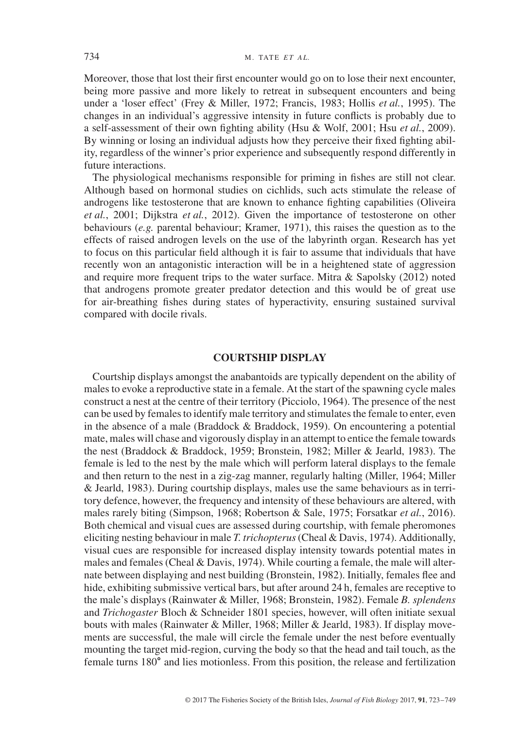Moreover, those that lost their first encounter would go on to lose their next encounter, being more passive and more likely to retreat in subsequent encounters and being under a 'loser effect' (Frey & Miller, 1972; Francis, 1983; Hollis *et al.*, 1995). The changes in an individual's aggressive intensity in future conflicts is probably due to a self-assessment of their own ighting ability (Hsu & Wolf, 2001; Hsu *et al.*, 2009). By winning or losing an individual adjusts how they perceive their ixed ighting ability, regardless of the winner's prior experience and subsequently respond differently in future interactions.

The physiological mechanisms responsible for priming in fishes are still not clear. Although based on hormonal studies on cichlids, such acts stimulate the release of androgens like testosterone that are known to enhance ighting capabilities (Oliveira *et al.*, 2001; Dijkstra *et al.*, 2012). Given the importance of testosterone on other behaviours (*e.g.* parental behaviour; Kramer, 1971), this raises the question as to the effects of raised androgen levels on the use of the labyrinth organ. Research has yet to focus on this particular ield although it is fair to assume that individuals that have recently won an antagonistic interaction will be in a heightened state of aggression and require more frequent trips to the water surface. Mitra & Sapolsky (2012) noted that androgens promote greater predator detection and this would be of great use for air-breathing ishes during states of hyperactivity, ensuring sustained survival compared with docile rivals.

## **COURTSHIP DISPLAY**

Courtship displays amongst the anabantoids are typically dependent on the ability of males to evoke a reproductive state in a female. At the start of the spawning cycle males construct a nest at the centre of their territory (Picciolo, 1964). The presence of the nest can be used by females to identify male territory and stimulates the female to enter, even in the absence of a male (Braddock & Braddock, 1959). On encountering a potential mate, males will chase and vigorously display in an attempt to entice the female towards the nest (Braddock & Braddock, 1959; Bronstein, 1982; Miller & Jearld, 1983). The female is led to the nest by the male which will perform lateral displays to the female and then return to the nest in a zig-zag manner, regularly halting (Miller, 1964; Miller & Jearld, 1983). During courtship displays, males use the same behaviours as in territory defence, however, the frequency and intensity of these behaviours are altered, with males rarely biting (Simpson, 1968; Robertson & Sale, 1975; Forsatkar *et al.*, 2016). Both chemical and visual cues are assessed during courtship, with female pheromones eliciting nesting behaviour in male *T. trichopterus*(Cheal & Davis, 1974). Additionally, visual cues are responsible for increased display intensity towards potential mates in males and females (Cheal & Davis, 1974). While courting a female, the male will alternate between displaying and nest building (Bronstein, 1982). Initially, females lee and hide, exhibiting submissive vertical bars, but after around 24 h, females are receptive to the male's displays (Rainwater & Miller, 1968; Bronstein, 1982). Female *B. splendens* and *Trichogaster* Bloch & Schneider 1801 species, however, will often initiate sexual bouts with males (Rainwater & Miller, 1968; Miller & Jearld, 1983). If display movements are successful, the male will circle the female under the nest before eventually mounting the target mid-region, curving the body so that the head and tail touch, as the female turns 180° and lies motionless. From this position, the release and fertilization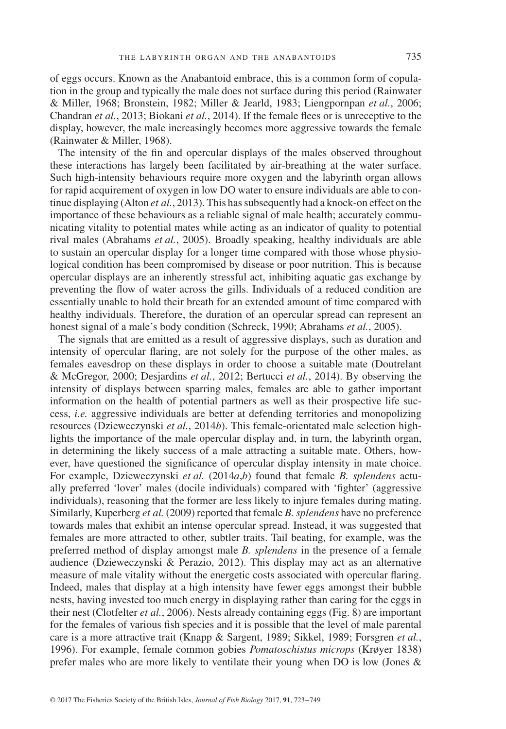of eggs occurs. Known as the Anabantoid embrace, this is a common form of copulation in the group and typically the male does not surface during this period (Rainwater & Miller, 1968; Bronstein, 1982; Miller & Jearld, 1983; Liengpornpan *et al.*, 2006; Chandran *et al.*, 2013; Biokani *et al.*, 2014). If the female lees or is unreceptive to the display, however, the male increasingly becomes more aggressive towards the female (Rainwater & Miller, 1968).

The intensity of the in and opercular displays of the males observed throughout these interactions has largely been facilitated by air-breathing at the water surface. Such high-intensity behaviours require more oxygen and the labyrinth organ allows for rapid acquirement of oxygen in low DO water to ensure individuals are able to continue displaying (Alton *et al.*, 2013). This has subsequently had a knock-on effect on the importance of these behaviours as a reliable signal of male health; accurately communicating vitality to potential mates while acting as an indicator of quality to potential rival males (Abrahams *et al.*, 2005). Broadly speaking, healthy individuals are able to sustain an opercular display for a longer time compared with those whose physiological condition has been compromised by disease or poor nutrition. This is because opercular displays are an inherently stressful act, inhibiting aquatic gas exchange by preventing the flow of water across the gills. Individuals of a reduced condition are essentially unable to hold their breath for an extended amount of time compared with healthy individuals. Therefore, the duration of an opercular spread can represent an honest signal of a male's body condition (Schreck, 1990; Abrahams *et al.*, 2005).

The signals that are emitted as a result of aggressive displays, such as duration and intensity of opercular laring, are not solely for the purpose of the other males, as females eavesdrop on these displays in order to choose a suitable mate (Doutrelant & McGregor, 2000; Desjardins *et al.*, 2012; Bertucci *et al.*, 2014). By observing the intensity of displays between sparring males, females are able to gather important information on the health of potential partners as well as their prospective life success, *i.e.* aggressive individuals are better at defending territories and monopolizing resources (Dzieweczynski *et al.*, 2014*b*). This female-orientated male selection highlights the importance of the male opercular display and, in turn, the labyrinth organ, in determining the likely success of a male attracting a suitable mate. Others, however, have questioned the significance of opercular display intensity in mate choice. For example, Dzieweczynski *et al.* (2014*a*,*b*) found that female *B. splendens* actually preferred 'lover' males (docile individuals) compared with 'ighter' (aggressive individuals), reasoning that the former are less likely to injure females during mating. Similarly, Kuperberg *et al.* (2009) reported that female *B. splendens* have no preference towards males that exhibit an intense opercular spread. Instead, it was suggested that females are more attracted to other, subtler traits. Tail beating, for example, was the preferred method of display amongst male *B. splendens* in the presence of a female audience (Dzieweczynski & Perazio, 2012). This display may act as an alternative measure of male vitality without the energetic costs associated with opercular laring. Indeed, males that display at a high intensity have fewer eggs amongst their bubble nests, having invested too much energy in displaying rather than caring for the eggs in their nest (Clotfelter *et al.*, 2006). Nests already containing eggs (Fig. 8) are important for the females of various fish species and it is possible that the level of male parental care is a more attractive trait (Knapp & Sargent, 1989; Sikkel, 1989; Forsgren *et al.*, 1996). For example, female common gobies *Pomatoschistus microps* (Krøyer 1838) prefer males who are more likely to ventilate their young when DO is low (Jones &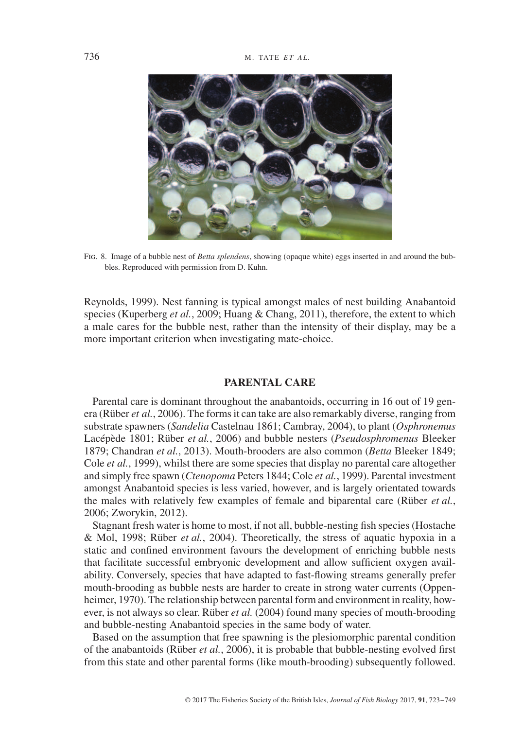

Fig. 8. Image of a bubble nest of *Betta splendens*, showing (opaque white) eggs inserted in and around the bubbles. Reproduced with permission from D. Kuhn.

Reynolds, 1999). Nest fanning is typical amongst males of nest building Anabantoid species (Kuperberg *et al.*, 2009; Huang & Chang, 2011), therefore, the extent to which a male cares for the bubble nest, rather than the intensity of their display, may be a more important criterion when investigating mate-choice.

# **PARENTAL CARE**

Parental care is dominant throughout the anabantoids, occurring in 16 out of 19 genera (Rüber *et al.*, 2006). The forms it can take are also remarkably diverse, ranging from substrate spawners (*Sandelia* Castelnau 1861; Cambray, 2004), to plant (*Osphronemus* Lacépède 1801; Rüber *et al.*, 2006) and bubble nesters (*Pseudosphromenus* Bleeker 1879; Chandran *et al.*, 2013). Mouth-brooders are also common (*Betta* Bleeker 1849; Cole *et al.*, 1999), whilst there are some species that display no parental care altogether and simply free spawn (*Ctenopoma* Peters 1844; Cole *et al.*, 1999). Parental investment amongst Anabantoid species is less varied, however, and is largely orientated towards the males with relatively few examples of female and biparental care (Rüber *et al.*, 2006; Zworykin, 2012).

Stagnant fresh water is home to most, if not all, bubble-nesting ish species (Hostache & Mol, 1998; Rüber *et al.*, 2004). Theoretically, the stress of aquatic hypoxia in a static and confined environment favours the development of enriching bubble nests that facilitate successful embryonic development and allow suficient oxygen availability. Conversely, species that have adapted to fast-lowing streams generally prefer mouth-brooding as bubble nests are harder to create in strong water currents (Oppenheimer, 1970). The relationship between parental form and environment in reality, however, is not always so clear. Rüber *et al.* (2004) found many species of mouth-brooding and bubble-nesting Anabantoid species in the same body of water.

Based on the assumption that free spawning is the plesiomorphic parental condition of the anabantoids (Rüber *et al.*, 2006), it is probable that bubble-nesting evolved irst from this state and other parental forms (like mouth-brooding) subsequently followed.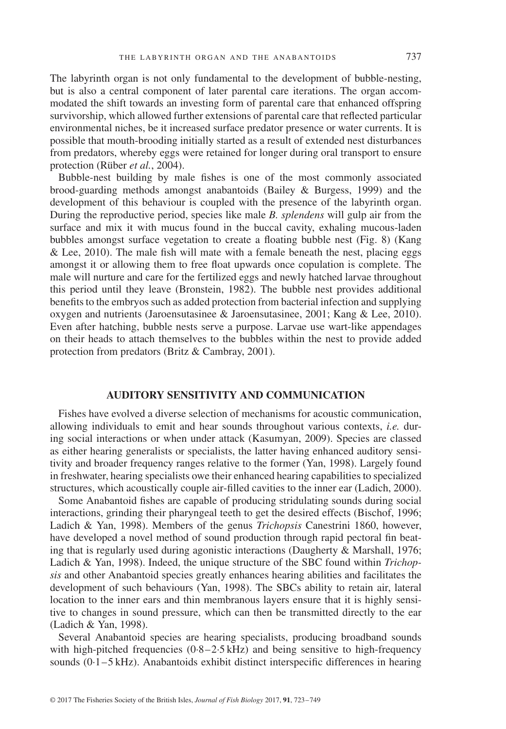The labyrinth organ is not only fundamental to the development of bubble-nesting, but is also a central component of later parental care iterations. The organ accommodated the shift towards an investing form of parental care that enhanced offspring survivorship, which allowed further extensions of parental care that relected particular environmental niches, be it increased surface predator presence or water currents. It is possible that mouth-brooding initially started as a result of extended nest disturbances from predators, whereby eggs were retained for longer during oral transport to ensure protection (Rüber *et al.*, 2004).

Bubble-nest building by male ishes is one of the most commonly associated brood-guarding methods amongst anabantoids (Bailey & Burgess, 1999) and the development of this behaviour is coupled with the presence of the labyrinth organ. During the reproductive period, species like male *B. splendens* will gulp air from the surface and mix it with mucus found in the buccal cavity, exhaling mucous-laden bubbles amongst surface vegetation to create a floating bubble nest (Fig. 8) (Kang  $&$  Lee, 2010). The male fish will mate with a female beneath the nest, placing eggs amongst it or allowing them to free float upwards once copulation is complete. The male will nurture and care for the fertilized eggs and newly hatched larvae throughout this period until they leave (Bronstein, 1982). The bubble nest provides additional benefits to the embryos such as added protection from bacterial infection and supplying oxygen and nutrients (Jaroensutasinee & Jaroensutasinee, 2001; Kang & Lee, 2010). Even after hatching, bubble nests serve a purpose. Larvae use wart-like appendages on their heads to attach themselves to the bubbles within the nest to provide added protection from predators (Britz & Cambray, 2001).

# **AUDITORY SENSITIVITY AND COMMUNICATION**

Fishes have evolved a diverse selection of mechanisms for acoustic communication, allowing individuals to emit and hear sounds throughout various contexts, *i.e.* during social interactions or when under attack (Kasumyan, 2009). Species are classed as either hearing generalists or specialists, the latter having enhanced auditory sensitivity and broader frequency ranges relative to the former (Yan, 1998). Largely found in freshwater, hearing specialists owe their enhanced hearing capabilities to specialized structures, which acoustically couple air-illed cavities to the inner ear (Ladich, 2000).

Some Anabantoid fishes are capable of producing stridulating sounds during social interactions, grinding their pharyngeal teeth to get the desired effects (Bischof, 1996; Ladich & Yan, 1998). Members of the genus *Trichopsis* Canestrini 1860, however, have developed a novel method of sound production through rapid pectoral in beating that is regularly used during agonistic interactions (Daugherty & Marshall, 1976; Ladich & Yan, 1998). Indeed, the unique structure of the SBC found within *Trichopsis* and other Anabantoid species greatly enhances hearing abilities and facilitates the development of such behaviours (Yan, 1998). The SBCs ability to retain air, lateral location to the inner ears and thin membranous layers ensure that it is highly sensitive to changes in sound pressure, which can then be transmitted directly to the ear (Ladich & Yan, 1998).

Several Anabantoid species are hearing specialists, producing broadband sounds with high-pitched frequencies  $(0.8-2.5 \text{ kHz})$  and being sensitive to high-frequency sounds  $(0.1 - 5$  kHz). Anabantoids exhibit distinct interspecific differences in hearing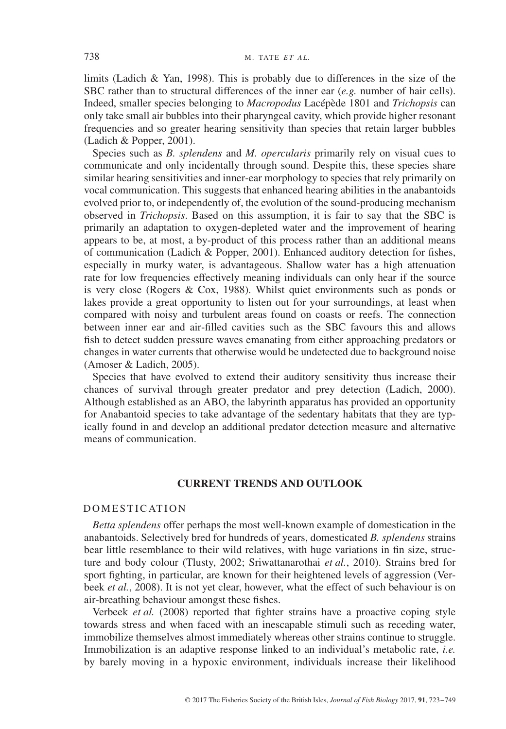limits (Ladich & Yan, 1998). This is probably due to differences in the size of the SBC rather than to structural differences of the inner ear (*e.g.* number of hair cells). Indeed, smaller species belonging to *Macropodus* Lacépède 1801 and *Trichopsis* can only take small air bubbles into their pharyngeal cavity, which provide higher resonant frequencies and so greater hearing sensitivity than species that retain larger bubbles (Ladich & Popper, 2001).

Species such as *B. splendens* and *M. opercularis* primarily rely on visual cues to communicate and only incidentally through sound. Despite this, these species share similar hearing sensitivities and inner-ear morphology to species that rely primarily on vocal communication. This suggests that enhanced hearing abilities in the anabantoids evolved prior to, or independently of, the evolution of the sound-producing mechanism observed in *Trichopsis*. Based on this assumption, it is fair to say that the SBC is primarily an adaptation to oxygen-depleted water and the improvement of hearing appears to be, at most, a by-product of this process rather than an additional means of communication (Ladich & Popper, 2001). Enhanced auditory detection for ishes, especially in murky water, is advantageous. Shallow water has a high attenuation rate for low frequencies effectively meaning individuals can only hear if the source is very close (Rogers & Cox, 1988). Whilst quiet environments such as ponds or lakes provide a great opportunity to listen out for your surroundings, at least when compared with noisy and turbulent areas found on coasts or reefs. The connection between inner ear and air-illed cavities such as the SBC favours this and allows fish to detect sudden pressure waves emanating from either approaching predators or changes in water currents that otherwise would be undetected due to background noise (Amoser & Ladich, 2005).

Species that have evolved to extend their auditory sensitivity thus increase their chances of survival through greater predator and prey detection (Ladich, 2000). Although established as an ABO, the labyrinth apparatus has provided an opportunity for Anabantoid species to take advantage of the sedentary habitats that they are typically found in and develop an additional predator detection measure and alternative means of communication.

# **CURRENT TRENDS AND OUTLOOK**

# DOMESTICATION

*Betta splendens* offer perhaps the most well-known example of domestication in the anabantoids. Selectively bred for hundreds of years, domesticated *B. splendens* strains bear little resemblance to their wild relatives, with huge variations in in size, structure and body colour (Tlusty, 2002; Sriwattanarothai *et al.*, 2010). Strains bred for sport fighting, in particular, are known for their heightened levels of aggression (Verbeek *et al.*, 2008). It is not yet clear, however, what the effect of such behaviour is on air-breathing behaviour amongst these fishes.

Verbeek *et al.* (2008) reported that fighter strains have a proactive coping style towards stress and when faced with an inescapable stimuli such as receding water, immobilize themselves almost immediately whereas other strains continue to struggle. Immobilization is an adaptive response linked to an individual's metabolic rate, *i.e.* by barely moving in a hypoxic environment, individuals increase their likelihood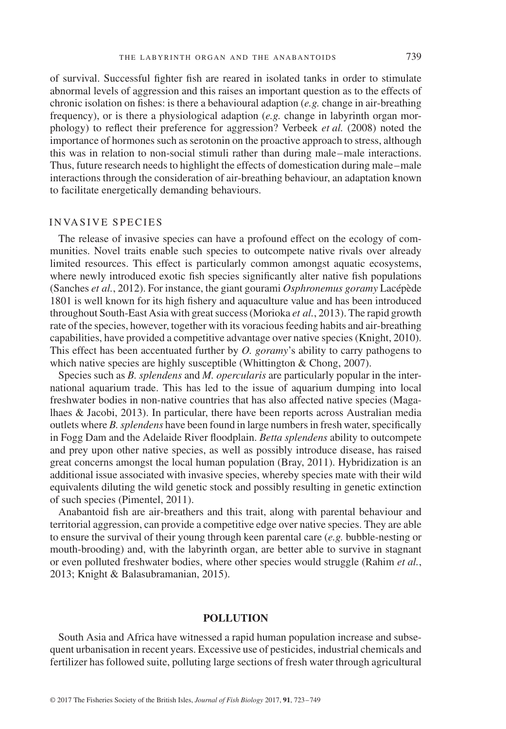of survival. Successful ighter ish are reared in isolated tanks in order to stimulate abnormal levels of aggression and this raises an important question as to the effects of chronic isolation on ishes: is there a behavioural adaption (*e.g.* change in air-breathing frequency), or is there a physiological adaption (*e.g.* change in labyrinth organ morphology) to relect their preference for aggression? Verbeek *et al.* (2008) noted the importance of hormones such as serotonin on the proactive approach to stress, although this was in relation to non-social stimuli rather than during male–male interactions. Thus, future research needs to highlight the effects of domestication during male–male interactions through the consideration of air-breathing behaviour, an adaptation known to facilitate energetically demanding behaviours.

# INVASIVE SPECIES

The release of invasive species can have a profound effect on the ecology of communities. Novel traits enable such species to outcompete native rivals over already limited resources. This effect is particularly common amongst aquatic ecosystems, where newly introduced exotic fish species significantly alter native fish populations (Sanches *et al.*, 2012). For instance, the giant gourami *Osphronemus goramy* Lacépède 1801 is well known for its high ishery and aquaculture value and has been introduced throughout South-East Asia with great success (Morioka *et al.*, 2013). The rapid growth rate of the species, however, together with its voracious feeding habits and air-breathing capabilities, have provided a competitive advantage over native species (Knight, 2010). This effect has been accentuated further by *O. goramy*'s ability to carry pathogens to which native species are highly susceptible (Whittington & Chong, 2007).

Species such as *B. splendens* and *M. opercularis* are particularly popular in the international aquarium trade. This has led to the issue of aquarium dumping into local freshwater bodies in non-native countries that has also affected native species (Magalhaes & Jacobi, 2013). In particular, there have been reports across Australian media outlets where *B*. *splendens* have been found in large numbers in fresh water, specifically in Fogg Dam and the Adelaide River loodplain. *Betta splendens* ability to outcompete and prey upon other native species, as well as possibly introduce disease, has raised great concerns amongst the local human population (Bray, 2011). Hybridization is an additional issue associated with invasive species, whereby species mate with their wild equivalents diluting the wild genetic stock and possibly resulting in genetic extinction of such species (Pimentel, 2011).

Anabantoid fish are air-breathers and this trait, along with parental behaviour and territorial aggression, can provide a competitive edge over native species. They are able to ensure the survival of their young through keen parental care (*e.g.* bubble-nesting or mouth-brooding) and, with the labyrinth organ, are better able to survive in stagnant or even polluted freshwater bodies, where other species would struggle (Rahim *et al.*, 2013; Knight & Balasubramanian, 2015).

# **POLLUTION**

South Asia and Africa have witnessed a rapid human population increase and subsequent urbanisation in recent years. Excessive use of pesticides, industrial chemicals and fertilizer has followed suite, polluting large sections of fresh water through agricultural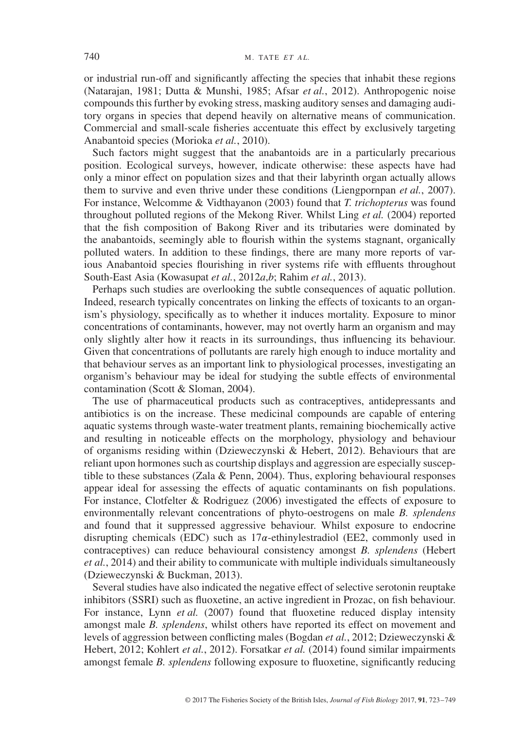or industrial run-off and signiicantly affecting the species that inhabit these regions (Natarajan, 1981; Dutta & Munshi, 1985; Afsar *et al.*, 2012). Anthropogenic noise compounds this further by evoking stress, masking auditory senses and damaging auditory organs in species that depend heavily on alternative means of communication. Commercial and small-scale isheries accentuate this effect by exclusively targeting Anabantoid species (Morioka *et al.*, 2010).

Such factors might suggest that the anabantoids are in a particularly precarious position. Ecological surveys, however, indicate otherwise: these aspects have had only a minor effect on population sizes and that their labyrinth organ actually allows them to survive and even thrive under these conditions (Liengpornpan *et al.*, 2007). For instance, Welcomme & Vidthayanon (2003) found that *T. trichopterus* was found throughout polluted regions of the Mekong River. Whilst Ling *et al.* (2004) reported that the ish composition of Bakong River and its tributaries were dominated by the anabantoids, seemingly able to flourish within the systems stagnant, organically polluted waters. In addition to these indings, there are many more reports of various Anabantoid species flourishing in river systems rife with effluents throughout South-East Asia (Kowasupat *et al.*, 2012*a*,*b*; Rahim *et al.*, 2013).

Perhaps such studies are overlooking the subtle consequences of aquatic pollution. Indeed, research typically concentrates on linking the effects of toxicants to an organism's physiology, specifically as to whether it induces mortality. Exposure to minor concentrations of contaminants, however, may not overtly harm an organism and may only slightly alter how it reacts in its surroundings, thus inluencing its behaviour. Given that concentrations of pollutants are rarely high enough to induce mortality and that behaviour serves as an important link to physiological processes, investigating an organism's behaviour may be ideal for studying the subtle effects of environmental contamination (Scott & Sloman, 2004).

The use of pharmaceutical products such as contraceptives, antidepressants and antibiotics is on the increase. These medicinal compounds are capable of entering aquatic systems through waste-water treatment plants, remaining biochemically active and resulting in noticeable effects on the morphology, physiology and behaviour of organisms residing within (Dzieweczynski & Hebert, 2012). Behaviours that are reliant upon hormones such as courtship displays and aggression are especially susceptible to these substances (Zala & Penn, 2004). Thus, exploring behavioural responses appear ideal for assessing the effects of aquatic contaminants on ish populations. For instance, Clotfelter & Rodriguez (2006) investigated the effects of exposure to environmentally relevant concentrations of phyto-oestrogens on male *B. splendens* and found that it suppressed aggressive behaviour. Whilst exposure to endocrine disrupting chemicals (EDC) such as  $17\alpha$ -ethinylestradiol (EE2, commonly used in contraceptives) can reduce behavioural consistency amongst *B. splendens* (Hebert *et al.*, 2014) and their ability to communicate with multiple individuals simultaneously (Dzieweczynski & Buckman, 2013).

Several studies have also indicated the negative effect of selective serotonin reuptake inhibitors (SSRI) such as fluoxetine, an active ingredient in Prozac, on fish behaviour. For instance, Lynn *et al.* (2007) found that fluoxetine reduced display intensity amongst male *B. splendens*, whilst others have reported its effect on movement and levels of aggression between conlicting males (Bogdan *et al.*, 2012; Dzieweczynski & Hebert, 2012; Kohlert *et al.*, 2012). Forsatkar *et al.* (2014) found similar impairments amongst female *B. splendens* following exposure to fluoxetine, significantly reducing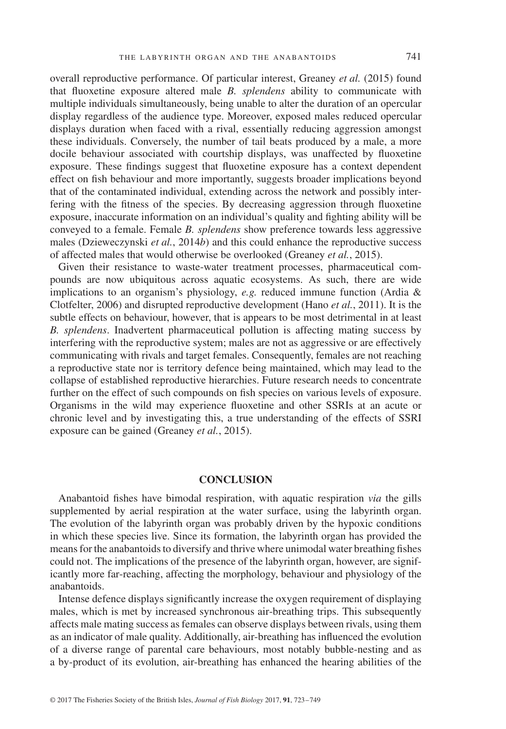overall reproductive performance. Of particular interest, Greaney *et al.* (2015) found that fluoxetine exposure altered male *B. splendens* ability to communicate with multiple individuals simultaneously, being unable to alter the duration of an opercular display regardless of the audience type. Moreover, exposed males reduced opercular displays duration when faced with a rival, essentially reducing aggression amongst these individuals. Conversely, the number of tail beats produced by a male, a more docile behaviour associated with courtship displays, was unaffected by luoxetine exposure. These findings suggest that fluoxetine exposure has a context dependent effect on ish behaviour and more importantly, suggests broader implications beyond that of the contaminated individual, extending across the network and possibly interfering with the fitness of the species. By decreasing aggression through fluoxetine exposure, inaccurate information on an individual's quality and ighting ability will be conveyed to a female. Female *B. splendens* show preference towards less aggressive males (Dzieweczynski *et al.*, 2014*b*) and this could enhance the reproductive success of affected males that would otherwise be overlooked (Greaney *et al.*, 2015).

Given their resistance to waste-water treatment processes, pharmaceutical compounds are now ubiquitous across aquatic ecosystems. As such, there are wide implications to an organism's physiology, *e.g.* reduced immune function (Ardia & Clotfelter, 2006) and disrupted reproductive development (Hano *et al.*, 2011). It is the subtle effects on behaviour, however, that is appears to be most detrimental in at least *B. splendens*. Inadvertent pharmaceutical pollution is affecting mating success by interfering with the reproductive system; males are not as aggressive or are effectively communicating with rivals and target females. Consequently, females are not reaching a reproductive state nor is territory defence being maintained, which may lead to the collapse of established reproductive hierarchies. Future research needs to concentrate further on the effect of such compounds on ish species on various levels of exposure. Organisms in the wild may experience luoxetine and other SSRIs at an acute or chronic level and by investigating this, a true understanding of the effects of SSRI exposure can be gained (Greaney *et al.*, 2015).

#### **CONCLUSION**

Anabantoid ishes have bimodal respiration, with aquatic respiration *via* the gills supplemented by aerial respiration at the water surface, using the labyrinth organ. The evolution of the labyrinth organ was probably driven by the hypoxic conditions in which these species live. Since its formation, the labyrinth organ has provided the means for the anabantoids to diversify and thrive where unimodal water breathing ishes could not. The implications of the presence of the labyrinth organ, however, are significantly more far-reaching, affecting the morphology, behaviour and physiology of the anabantoids.

Intense defence displays signiicantly increase the oxygen requirement of displaying males, which is met by increased synchronous air-breathing trips. This subsequently affects male mating success as females can observe displays between rivals, using them as an indicator of male quality. Additionally, air-breathing has inluenced the evolution of a diverse range of parental care behaviours, most notably bubble-nesting and as a by-product of its evolution, air-breathing has enhanced the hearing abilities of the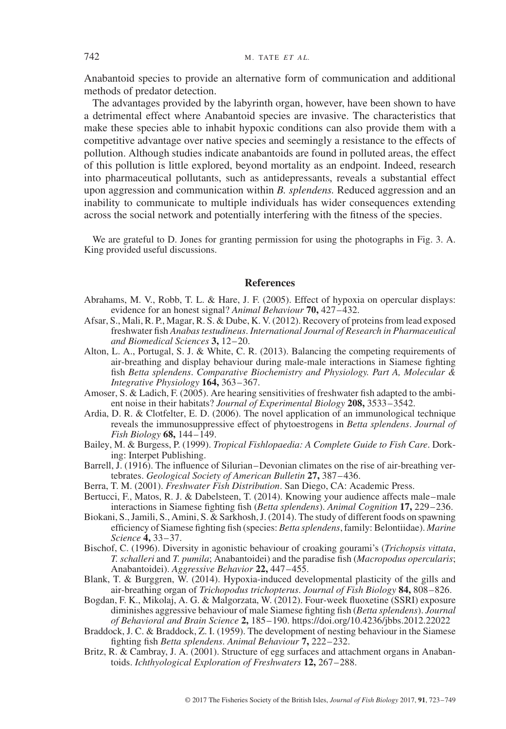Anabantoid species to provide an alternative form of communication and additional methods of predator detection.

The advantages provided by the labyrinth organ, however, have been shown to have a detrimental effect where Anabantoid species are invasive. The characteristics that make these species able to inhabit hypoxic conditions can also provide them with a competitive advantage over native species and seemingly a resistance to the effects of pollution. Although studies indicate anabantoids are found in polluted areas, the effect of this pollution is little explored, beyond mortality as an endpoint. Indeed, research into pharmaceutical pollutants, such as antidepressants, reveals a substantial effect upon aggression and communication within *B. splendens.* Reduced aggression and an inability to communicate to multiple individuals has wider consequences extending across the social network and potentially interfering with the itness of the species.

We are grateful to D. Jones for granting permission for using the photographs in Fig. 3. A. King provided useful discussions.

#### **References**

- Abrahams, M. V., Robb, T. L. & Hare, J. F. (2005). Effect of hypoxia on opercular displays: evidence for an honest signal? *Animal Behaviour* **70,** 427–432.
- Afsar, S., Mali, R. P., Magar, R. S. & Dube, K. V. (2012). Recovery of proteins from lead exposed freshwater ish *Anabas testudineus*. *International Journal of Research in Pharmaceutical and Biomedical Sciences* **3,** 12–20.
- Alton, L. A., Portugal, S. J. & White, C. R. (2013). Balancing the competing requirements of air-breathing and display behaviour during male-male interactions in Siamese ighting ish *Betta splendens*. *Comparative Biochemistry and Physiology. Part A, Molecular & Integrative Physiology* **164,** 363–367.
- Amoser, S. & Ladich, F. (2005). Are hearing sensitivities of freshwater ish adapted to the ambient noise in their habitats? *Journal of Experimental Biology* **208,** 3533–3542.
- Ardia, D. R. & Clotfelter, E. D. (2006). The novel application of an immunological technique reveals the immunosuppressive effect of phytoestrogens in *Betta splendens*. *Journal of Fish Biology* **68,** 144–149.
- Bailey, M. & Burgess, P. (1999). *Tropical Fishlopaedia: A Complete Guide to Fish Care*. Dorking: Interpet Publishing.
- Barrell, J. (1916). The influence of Silurian–Devonian climates on the rise of air-breathing vertebrates. *Geological Society of American Bulletin* **27,** 387–436.
- Berra, T. M. (2001). *Freshwater Fish Distribution*. San Diego, CA: Academic Press.
- Bertucci, F., Matos, R. J. & Dabelsteen, T. (2014). Knowing your audience affects male–male interactions in Siamese ighting ish (*Betta splendens*). *Animal Cognition* **17,** 229–236.
- Biokani, S., Jamili, S., Amini, S. & Sarkhosh, J. (2014). The study of different foods on spawning eficiency of Siamese ighting ish (species: *Betta splendens*, family: Belontiidae). *Marine Science* **4,** 33–37.
- Bischof, C. (1996). Diversity in agonistic behaviour of croaking gourami's (*Trichopsis vittata*, *T. schalleri* and *T. pumila*; Anabantoidei) and the paradise ish (*Macropodus opercularis*; Anabantoidei). *Aggressive Behavior* **22,** 447–455.
- Blank, T. & Burggren, W. (2014). Hypoxia-induced developmental plasticity of the gills and air-breathing organ of *Trichopodus trichopterus*. *Journal of Fish Biology* **84,** 808–826.
- Bogdan, F. K., Mikolaj, A. G. & Malgorzata, W. (2012). Four-week luoxetine (SSRI) exposure diminishes aggressive behaviour of male Siamese ighting ish (*Betta splendens*). *Journal of Behavioral and Brain Science* **2,** 185–190.<https://doi.org/10.4236/jbbs.2012.22022>
- Braddock, J. C. & Braddock, Z. I. (1959). The development of nesting behaviour in the Siamese fighting fish *Betta splendens*. *Animal Behaviour* **7**, 222–232.
- Britz, R. & Cambray, J. A. (2001). Structure of egg surfaces and attachment organs in Anabantoids. *Ichthyological Exploration of Freshwaters* **12,** 267–288.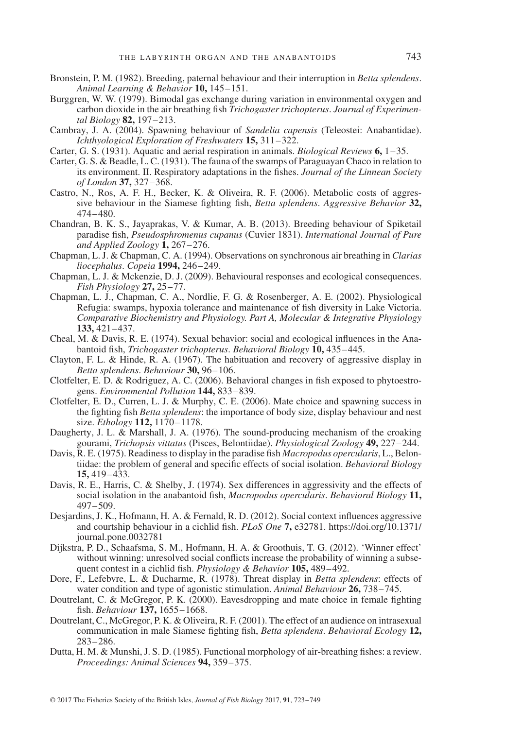- Bronstein, P. M. (1982). Breeding, paternal behaviour and their interruption in *Betta splendens*. *Animal Learning & Behavior* **10,** 145–151.
- Burggren, W. W. (1979). Bimodal gas exchange during variation in environmental oxygen and carbon dioxide in the air breathing ish *Trichogaster trichopterus*. *Journal of Experimental Biology* **82,** 197–213.
- Cambray, J. A. (2004). Spawning behaviour of *Sandelia capensis* (Teleostei: Anabantidae). *Ichthyological Exploration of Freshwaters* **15,** 311–322.
- Carter, G. S. (1931). Aquatic and aerial respiration in animals. *Biological Reviews* **6,** 1–35.
- Carter, G. S. & Beadle, L. C. (1931). The fauna of the swamps of Paraguayan Chaco in relation to its environment. II. Respiratory adaptations in the ishes. *Journal of the Linnean Society of London* **37,** 327–368.
- Castro, N., Ros, A. F. H., Becker, K. & Oliveira, R. F. (2006). Metabolic costs of aggressive behaviour in the Siamese ighting ish, *Betta splendens*. *Aggressive Behavior* **32,** 474–480.
- Chandran, B. K. S., Jayaprakas, V. & Kumar, A. B. (2013). Breeding behaviour of Spiketail paradise ish, *Pseudosphromenus cupanus* (Cuvier 1831). *International Journal of Pure and Applied Zoology* **1,** 267–276.
- Chapman, L. J. & Chapman, C. A. (1994). Observations on synchronous air breathing in *Clarias liocephalus*. *Copeia* **1994,** 246–249.
- Chapman, L. J. & Mckenzie, D. J. (2009). Behavioural responses and ecological consequences. *Fish Physiology* **27,** 25–77.
- Chapman, L. J., Chapman, C. A., Nordlie, F. G. & Rosenberger, A. E. (2002). Physiological Refugia: swamps, hypoxia tolerance and maintenance of ish diversity in Lake Victoria. *Comparative Biochemistry and Physiology. Part A, Molecular & Integrative Physiology* **133,** 421–437.
- Cheal, M. & Davis, R. E. (1974). Sexual behavior: social and ecological influences in the Anabantoid ish, *Trichogaster trichopterus*. *Behavioral Biology* **10,** 435–445.
- Clayton, F. L. & Hinde, R. A. (1967). The habituation and recovery of aggressive display in *Betta splendens*. *Behaviour* **30,** 96–106.
- Clotfelter, E. D. & Rodriguez, A. C. (2006). Behavioral changes in ish exposed to phytoestrogens. *Environmental Pollution* **144,** 833–839.
- Clotfelter, E. D., Curren, L. J. & Murphy, C. E. (2006). Mate choice and spawning success in the ighting ish *Betta splendens*: the importance of body size, display behaviour and nest size. *Ethology* **112,** 1170–1178.
- Daugherty, J. L. & Marshall, J. A. (1976). The sound-producing mechanism of the croaking gourami, *Trichopsis vittatus* (Pisces, Belontiidae). *Physiological Zoology* **49,** 227–244.
- Davis, R. E. (1975). Readiness to display in the paradise ish *Macropodus opercularis*, L., Belontiidae: the problem of general and speciic effects of social isolation. *Behavioral Biology* **15,** 419–433.
- Davis, R. E., Harris, C. & Shelby, J. (1974). Sex differences in aggressivity and the effects of social isolation in the anabantoid ish, *Macropodus opercularis*. *Behavioral Biology* **11,** 497–509.
- Desjardins, J. K., Hofmann, H. A. & Fernald, R. D. (2012). Social context inluences aggressive and courtship behaviour in a cichlid ish. *PLoS One* **7,** e32781. [https://doi.org/10.1371/](https://doi.org/10.1371/journal.pone.0032781) [journal.pone.0032781](https://doi.org/10.1371/journal.pone.0032781)
- Dijkstra, P. D., Schaafsma, S. M., Hofmann, H. A. & Groothuis, T. G. (2012). 'Winner effect' without winning: unresolved social conflicts increase the probability of winning a subsequent contest in a cichlid ish. *Physiology & Behavior* **105,** 489–492.
- Dore, F., Lefebvre, L. & Ducharme, R. (1978). Threat display in *Betta splendens*: effects of water condition and type of agonistic stimulation. *Animal Behaviour* **26,** 738–745.
- Doutrelant, C. & McGregor, P. K. (2000). Eavesdropping and mate choice in female ighting ish. *Behaviour* **137,** 1655–1668.
- Doutrelant, C., McGregor, P. K. & Oliveira, R. F. (2001). The effect of an audience on intrasexual communication in male Siamese ighting ish, *Betta splendens*. *Behavioral Ecology* **12,** 283–286.
- Dutta, H. M. & Munshi, J. S. D. (1985). Functional morphology of air-breathing ishes: a review. *Proceedings: Animal Sciences* **94,** 359–375.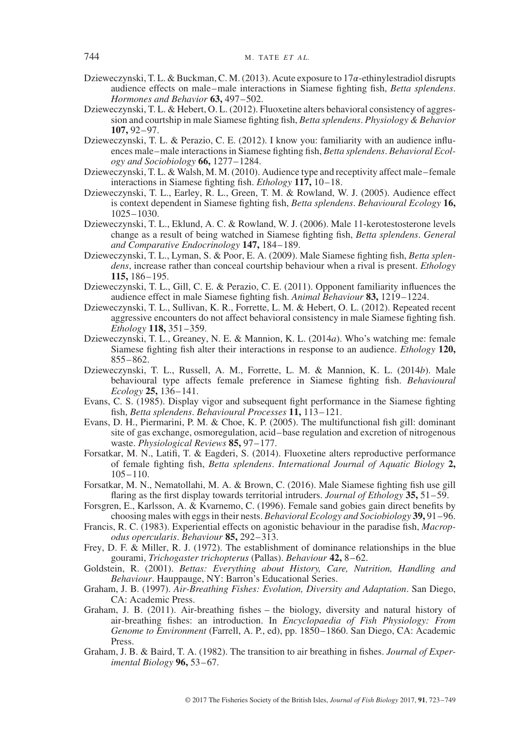- Dzieweczynski, T. L. & Buckman, C. M. (2013). Acute exposure to  $17\alpha$ -ethinylestradiol disrupts audience effects on male–male interactions in Siamese ighting ish, *Betta splendens*. *Hormones and Behavior* **63,** 497–502.
- Dzieweczynski, T. L. & Hebert, O. L. (2012). Fluoxetine alters behavioral consistency of aggression and courtship in male Siamese ighting ish, *Betta splendens*. *Physiology & Behavior* **107,** 92–97.
- Dzieweczynski, T. L. & Perazio, C. E. (2012). I know you: familiarity with an audience inluences male–male interactions in Siamese ighting ish, *Betta splendens*. *Behavioral Ecology and Sociobiology* **66,** 1277–1284.
- Dzieweczynski, T. L. & Walsh, M. M. (2010). Audience type and receptivity affect male–female interactions in Siamese ighting ish. *Ethology* **117,** 10–18.
- Dzieweczynski, T. L., Earley, R. L., Green, T. M. & Rowland, W. J. (2005). Audience effect is context dependent in Siamese ighting ish, *Betta splendens*. *Behavioural Ecology* **16,** 1025–1030.
- Dzieweczynski, T. L., Eklund, A. C. & Rowland, W. J. (2006). Male 11-kerotestosterone levels change as a result of being watched in Siamese ighting ish, *Betta splendens*. *General and Comparative Endocrinology* **147,** 184–189.
- Dzieweczynski, T. L., Lyman, S. & Poor, E. A. (2009). Male Siamese ighting ish, *Betta splendens*, increase rather than conceal courtship behaviour when a rival is present. *Ethology* **115,** 186–195.
- Dzieweczynski, T. L., Gill, C. E. & Perazio, C. E. (2011). Opponent familiarity inluences the audience effect in male Siamese ighting ish. *Animal Behaviour* **83,** 1219–1224.
- Dzieweczynski, T. L., Sullivan, K. R., Forrette, L. M. & Hebert, O. L. (2012). Repeated recent aggressive encounters do not affect behavioral consistency in male Siamese ighting ish. *Ethology* **118,** 351–359.
- Dzieweczynski, T. L., Greaney, N. E. & Mannion, K. L. (2014*a*). Who's watching me: female Siamese ighting ish alter their interactions in response to an audience. *Ethology* **120,** 855–862.
- Dzieweczynski, T. L., Russell, A. M., Forrette, L. M. & Mannion, K. L. (2014*b*). Male behavioural type affects female preference in Siamese ighting ish. *Behavioural Ecology* **25,** 136–141.
- Evans, C. S. (1985). Display vigor and subsequent ight performance in the Siamese ighting ish, *Betta splendens*. *Behavioural Processes* **11,** 113–121.
- Evans, D. H., Piermarini, P. M. & Choe, K. P. (2005). The multifunctional ish gill: dominant site of gas exchange, osmoregulation, acid–base regulation and excretion of nitrogenous waste. *Physiological Reviews* **85,** 97–177.
- Forsatkar, M. N., Latifi, T. & Eagderi, S. (2014). Fluoxetine alters reproductive performance of female ighting ish, *Betta splendens*. *International Journal of Aquatic Biology* **2,** 105–110.
- Forsatkar, M. N., Nematollahi, M. A. & Brown, C. (2016). Male Siamese ighting ish use gill laring as the irst display towards territorial intruders. *Journal of Ethology* **35,** 51–59.
- Forsgren, E., Karlsson, A. & Kvarnemo, C. (1996). Female sand gobies gain direct beneits by choosing males with eggs in their nests. *Behavioral Ecology and Sociobiology* **39,** 91–96.
- Francis, R. C. (1983). Experiential effects on agonistic behaviour in the paradise ish, *Macropodus opercularis*. *Behaviour* **85,** 292–313.
- Frey, D. F. & Miller, R. J. (1972). The establishment of dominance relationships in the blue gourami, *Trichogaster trichopterus* (Pallas). *Behaviour* **42,** 8–62.
- Goldstein, R. (2001). *Bettas: Everything about History, Care, Nutrition, Handling and Behaviour*. Hauppauge, NY: Barron's Educational Series.
- Graham, J. B. (1997). *Air-Breathing Fishes: Evolution, Diversity and Adaptation*. San Diego, CA: Academic Press.
- Graham, J. B. (2011). Air-breathing ishes the biology, diversity and natural history of air-breathing ishes: an introduction. In *Encyclopaedia of Fish Physiology: From Genome to Environment* (Farrell, A. P., ed), pp. 1850–1860. San Diego, CA: Academic Press.
- Graham, J. B. & Baird, T. A. (1982). The transition to air breathing in ishes. *Journal of Experimental Biology* **96,** 53–67.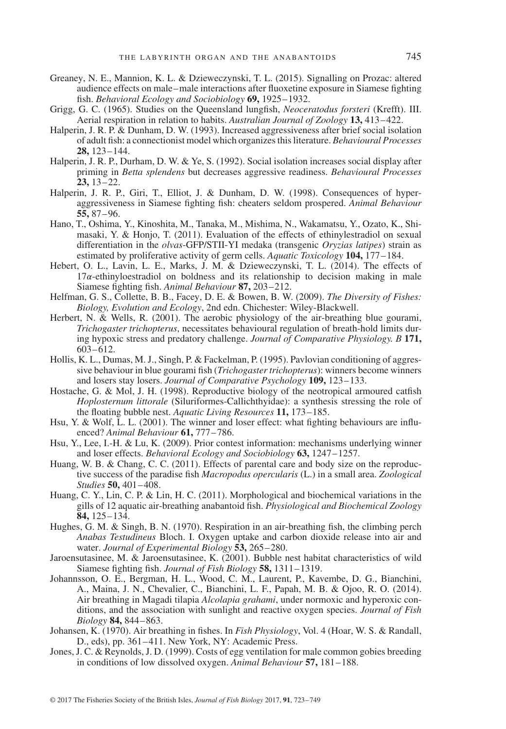- Greaney, N. E., Mannion, K. L. & Dzieweczynski, T. L. (2015). Signalling on Prozac: altered audience effects on male–male interactions after luoxetine exposure in Siamese ighting ish. *Behavioral Ecology and Sociobiology* **69,** 1925–1932.
- Grigg, G. C. (1965). Studies on the Queensland lungish, *Neoceratodus forsteri* (Krefft). III. Aerial respiration in relation to habits. *Australian Journal of Zoology* **13,** 413–422.
- Halperin, J. R. P. & Dunham, D. W. (1993). Increased aggressiveness after brief social isolation of adult ish: a connectionist model which organizes this literature. *Behavioural Processes* **28,** 123–144.
- Halperin, J. R. P., Durham, D. W. & Ye, S. (1992). Social isolation increases social display after priming in *Betta splendens* but decreases aggressive readiness. *Behavioural Processes* **23,** 13–22.
- Halperin, J. R. P., Giri, T., Elliot, J. & Dunham, D. W. (1998). Consequences of hyperaggressiveness in Siamese ighting ish: cheaters seldom prospered. *Animal Behaviour* **55,** 87–96.
- Hano, T., Oshima, Y., Kinoshita, M., Tanaka, M., Mishima, N., Wakamatsu, Y., Ozato, K., Shimasaki, Y. & Honjo, T. (2011). Evaluation of the effects of ethinylestradiol on sexual differentiation in the *olvas*-GFP/STII-YI medaka (transgenic *Oryzias latipes*) strain as estimated by proliferative activity of germ cells. *Aquatic Toxicology* **104,** 177–184.
- Hebert, O. L., Lavin, L. E., Marks, J. M. & Dzieweczynski, T. L. (2014). The effects of  $17\alpha$ -ethinyloestradiol on boldness and its relationship to decision making in male Siamese ighting ish. *Animal Behaviour* **87,** 203–212.
- Helfman, G. S., Collette, B. B., Facey, D. E. & Bowen, B. W. (2009). *The Diversity of Fishes: Biology, Evolution and Ecology*, 2nd edn. Chichester: Wiley-Blackwell.
- Herbert, N. & Wells, R. (2001). The aerobic physiology of the air-breathing blue gourami, *Trichogaster trichopterus*, necessitates behavioural regulation of breath-hold limits during hypoxic stress and predatory challenge. *Journal of Comparative Physiology. B* **171,** 603–612.
- Hollis, K. L., Dumas, M. J., Singh, P. & Fackelman, P. (1995). Pavlovian conditioning of aggressive behaviour in blue gourami fish (*Trichogaster trichopterus*): winners become winners and losers stay losers. *Journal of Comparative Psychology* **109,** 123–133.
- Hostache, G. & Mol, J. H. (1998). Reproductive biology of the neotropical armoured catish *Hoplosternum littorale* (Siluriformes-Callichthyidae): a synthesis stressing the role of the loating bubble nest. *Aquatic Living Resources* **11,** 173–185.
- Hsu, Y. & Wolf, L. L. (2001). The winner and loser effect: what ighting behaviours are inluenced? *Animal Behaviour* **61,** 777–786.
- Hsu, Y., Lee, I.-H. & Lu, K. (2009). Prior contest information: mechanisms underlying winner and loser effects. *Behavioral Ecology and Sociobiology* **63,** 1247–1257.
- Huang, W. B. & Chang, C. C. (2011). Effects of parental care and body size on the reproductive success of the paradise ish *Macropodus opercularis* (L.) in a small area. *Zoological Studies* **50,** 401–408.
- Huang, C. Y., Lin, C. P. & Lin, H. C. (2011). Morphological and biochemical variations in the gills of 12 aquatic air-breathing anabantoid ish. *Physiological and Biochemical Zoology* **84,** 125–134.
- Hughes, G. M. & Singh, B. N. (1970). Respiration in an air-breathing ish, the climbing perch *Anabas Testudineus* Bloch. I. Oxygen uptake and carbon dioxide release into air and water. *Journal of Experimental Biology* **53,** 265–280.
- Jaroensutasinee, M. & Jaroensutasinee, K. (2001). Bubble nest habitat characteristics of wild Siamese ighting ish. *Journal of Fish Biology* **58,** 1311–1319.
- Johannsson, O. E., Bergman, H. L., Wood, C. M., Laurent, P., Kavembe, D. G., Bianchini, A., Maina, J. N., Chevalier, C., Bianchini, L. F., Papah, M. B. & Ojoo, R. O. (2014). Air breathing in Magadi tilapia *Alcolapia grahami*, under normoxic and hyperoxic conditions, and the association with sunlight and reactive oxygen species. *Journal of Fish Biology* **84,** 844–863.
- Johansen, K. (1970). Air breathing in ishes. In *Fish Physiology*, Vol. 4 (Hoar, W. S. & Randall, D., eds), pp. 361–411. New York, NY: Academic Press.
- Jones, J. C. & Reynolds, J. D. (1999). Costs of egg ventilation for male common gobies breeding in conditions of low dissolved oxygen. *Animal Behaviour* **57,** 181–188.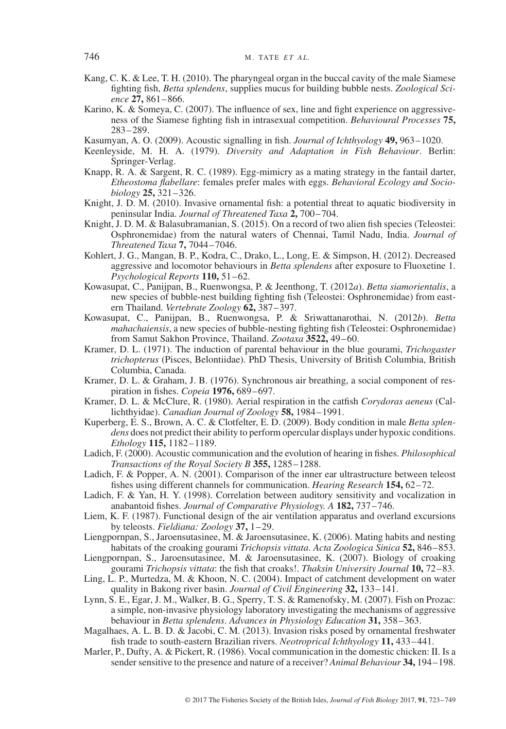- Kang, C. K. & Lee, T. H. (2010). The pharyngeal organ in the buccal cavity of the male Siamese fighting fish, *Betta splendens*, supplies mucus for building bubble nests. *Zoological Science* **27,** 861–866.
- Karino, K. & Someya, C. (2007). The influence of sex, line and fight experience on aggressiveness of the Siamese ighting ish in intrasexual competition. *Behavioural Processes* **75,** 283–289.
- Kasumyan, A. O. (2009). Acoustic signalling in ish. *Journal of Ichthyology* **49,** 963–1020.
- Keenleyside, M. H. A. (1979). *Diversity and Adaptation in Fish Behaviour*. Berlin: Springer-Verlag.
- Knapp, R. A. & Sargent, R. C. (1989). Egg-mimicry as a mating strategy in the fantail darter, *Etheostoma labellare*: females prefer males with eggs. *Behavioral Ecology and Sociobiology* **25,** 321–326.
- Knight, J. D. M. (2010). Invasive ornamental ish: a potential threat to aquatic biodiversity in peninsular India. *Journal of Threatened Taxa* **2,** 700–704.
- Knight, J. D. M. & Balasubramanian, S. (2015). On a record of two alien ish species (Teleostei: Osphronemidae) from the natural waters of Chennai, Tamil Nadu, India. *Journal of Threatened Taxa* **7,** 7044–7046.
- Kohlert, J. G., Mangan, B. P., Kodra, C., Drako, L., Long, E. & Simpson, H. (2012). Decreased aggressive and locomotor behaviours in *Betta splendens* after exposure to Fluoxetine 1. *Psychological Reports* **110,** 51–62.
- Kowasupat, C., Panijpan, B., Ruenwongsa, P. & Jeenthong, T. (2012*a*). *Betta siamorientalis*, a new species of bubble-nest building ighting ish (Teleostei: Osphronemidae) from eastern Thailand. *Vertebrate Zoology* **62,** 387–397.
- Kowasupat, C., Panijpan, B., Ruenwongsa, P. & Sriwattanarothai, N. (2012*b*). *Betta mahachaiensis*, a new species of bubble-nesting ighting ish (Teleostei: Osphronemidae) from Samut Sakhon Province, Thailand. *Zootaxa* **3522,** 49–60.
- Kramer, D. L. (1971). The induction of parental behaviour in the blue gourami, *Trichogaster trichopterus* (Pisces, Belontiidae). PhD Thesis, University of British Columbia, British Columbia, Canada.
- Kramer, D. L. & Graham, J. B. (1976). Synchronous air breathing, a social component of respiration in ishes. *Copeia* **1976,** 689–697.
- Kramer, D. L. & McClure, R. (1980). Aerial respiration in the catish *Corydoras aeneus* (Callichthyidae). *Canadian Journal of Zoology* **58,** 1984–1991.
- Kuperberg, E. S., Brown, A. C. & Clotfelter, E. D. (2009). Body condition in male *Betta splendens* does not predict their ability to perform opercular displays under hypoxic conditions. *Ethology* **115,** 1182–1189.
- Ladich, F. (2000). Acoustic communication and the evolution of hearing in ishes. *Philosophical Transactions of the Royal Society B* **355,** 1285–1288.
- Ladich, F. & Popper, A. N. (2001). Comparison of the inner ear ultrastructure between teleost ishes using different channels for communication. *Hearing Research* **154,** 62–72.
- Ladich, F. & Yan, H. Y. (1998). Correlation between auditory sensitivity and vocalization in anabantoid ishes. *Journal of Comparative Physiology. A* **182,** 737–746.
- Liem, K. F. (1987). Functional design of the air ventilation apparatus and overland excursions by teleosts. *Fieldiana: Zoology* **37,** 1–29.
- Liengpornpan, S., Jaroensutasinee, M. & Jaroensutasinee, K. (2006). Mating habits and nesting habitats of the croaking gourami *Trichopsis vittata*. *Acta Zoologica Sinica* **52,** 846–853.
- Liengpornpan, S., Jaroensutasinee, M. & Jaroensutasinee, K. (2007). Biology of croaking gourami *Trichopsis vittata*: the ish that croaks!. *Thaksin University Journal* **10,** 72–83.
- Ling, L. P., Murtedza, M. & Khoon, N. C. (2004). Impact of catchment development on water quality in Bakong river basin. *Journal of Civil Engineering* **32,** 133–141.
- Lynn, S. E., Egar, J. M., Walker, B. G., Sperry, T. S. & Ramenofsky, M. (2007). Fish on Prozac: a simple, non-invasive physiology laboratory investigating the mechanisms of aggressive behaviour in *Betta splendens*. *Advances in Physiology Education* **31,** 358–363.
- Magalhaes, A. L. B. D. & Jacobi, C. M. (2013). Invasion risks posed by ornamental freshwater ish trade to south-eastern Brazilian rivers. *Neotroprical Ichthyology* **11,** 433–441.
- Marler, P., Dufty, A. & Pickert, R. (1986). Vocal communication in the domestic chicken: II. Is a sender sensitive to the presence and nature of a receiver? *Animal Behaviour* **34,** 194–198.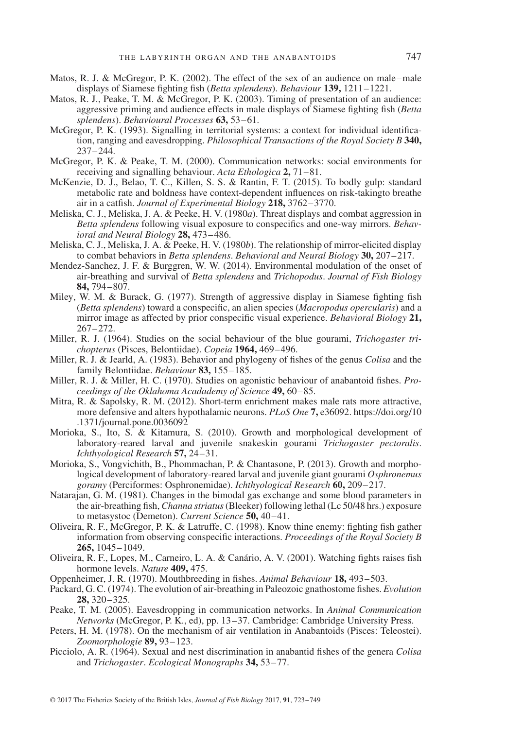- Matos, R. J. & McGregor, P. K. (2002). The effect of the sex of an audience on male–male displays of Siamese ighting ish (*Betta splendens*). *Behaviour* **139,** 1211–1221.
- Matos, R. J., Peake, T. M. & McGregor, P. K. (2003). Timing of presentation of an audience: aggressive priming and audience effects in male displays of Siamese ighting ish (*Betta splendens*). *Behavioural Processes* **63,** 53–61.
- McGregor, P. K. (1993). Signalling in territorial systems: a context for individual identification, ranging and eavesdropping. *Philosophical Transactions of the Royal Society B* **340,** 237–244.
- McGregor, P. K. & Peake, T. M. (2000). Communication networks: social environments for receiving and signalling behaviour. *Acta Ethologica* **2,** 71–81.
- McKenzie, D. J., Belao, T. C., Killen, S. S. & Rantin, F. T. (2015). To bodly gulp: standard metabolic rate and boldness have context-dependent inluences on risk-takingto breathe air in a catish. *Journal of Experimental Biology* **218,** 3762–3770.
- Meliska, C. J., Meliska, J. A. & Peeke, H. V. (1980*a*). Threat displays and combat aggression in Betta splendens following visual exposure to conspecifics and one-way mirrors. *Behavioral and Neural Biology* **28,** 473–486.
- Meliska, C. J., Meliska, J. A. & Peeke, H. V. (1980*b*). The relationship of mirror-elicited display to combat behaviors in *Betta splendens*. *Behavioral and Neural Biology* **30,** 207–217.
- Mendez-Sanchez, J. F. & Burggren, W. W. (2014). Environmental modulation of the onset of air-breathing and survival of *Betta splendens* and *Trichopodus*. *Journal of Fish Biology* **84,** 794–807.
- Miley, W. M. & Burack, G. (1977). Strength of aggressive display in Siamese fighting fish (*Betta splendens*) toward a conspeciic, an alien species (*Macropodus opercularis*) and a mirror image as affected by prior conspeciic visual experience. *Behavioral Biology* **21,** 267–272.
- Miller, R. J. (1964). Studies on the social behaviour of the blue gourami, *Trichogaster trichopterus* (Pisces, Belontiidae). *Copeia* **1964,** 469–496.
- Miller, R. J. & Jearld, A. (1983). Behavior and phylogeny of ishes of the genus *Colisa* and the family Belontiidae. *Behaviour* **83,** 155–185.
- Miller, R. J. & Miller, H. C. (1970). Studies on agonistic behaviour of anabantoid ishes. *Proceedings of the Oklahoma Acadademy of Science* **49,** 60–85.
- Mitra, R. & Sapolsky, R. M. (2012). Short-term enrichment makes male rats more attractive, more defensive and alters hypothalamic neurons. *PLoS One* **7,** e36092. [https://doi.org/10](https://doi.org/10.1371/journal.pone.0036092) [.1371/journal.pone.0036092](https://doi.org/10.1371/journal.pone.0036092)
- Morioka, S., Ito, S. & Kitamura, S. (2010). Growth and morphological development of laboratory-reared larval and juvenile snakeskin gourami *Trichogaster pectoralis*. *Ichthyological Research* **57,** 24–31.
- Morioka, S., Vongvichith, B., Phommachan, P. & Chantasone, P. (2013). Growth and morphological development of laboratory-reared larval and juvenile giant gourami *Osphronemus goramy* (Perciformes: Osphronemidae). *Ichthyological Research* **60,** 209–217.
- Natarajan, G. M. (1981). Changes in the bimodal gas exchange and some blood parameters in the air-breathing ish, *Channa striatus*(Bleeker) following lethal (Lc 50/48 hrs.) exposure to metasystoc (Demeton). *Current Science* **50,** 40–41.
- Oliveira, R. F., McGregor, P. K. & Latruffe, C. (1998). Know thine enemy: ighting ish gather information from observing conspeciic interactions. *Proceedings of the Royal Society B* **265,** 1045–1049.
- Oliveira, R. F., Lopes, M., Carneiro, L. A. & Canário, A. V. (2001). Watching ights raises ish hormone levels. *Nature* **409,** 475.
- Oppenheimer, J. R. (1970). Mouthbreeding in ishes. *Animal Behaviour* **18,** 493–503.
- Packard, G. C. (1974). The evolution of air-breathing in Paleozoic gnathostome ishes. *Evolution* **28,** 320–325.
- Peake, T. M. (2005). Eavesdropping in communication networks. In *Animal Communication Networks* (McGregor, P. K., ed), pp. 13–37. Cambridge: Cambridge University Press.
- Peters, H. M. (1978). On the mechanism of air ventilation in Anabantoids (Pisces: Teleostei). *Zoomorphologie* **89,** 93–123.
- Picciolo, A. R. (1964). Sexual and nest discrimination in anabantid ishes of the genera *Colisa* and *Trichogaster*. *Ecological Monographs* **34,** 53–77.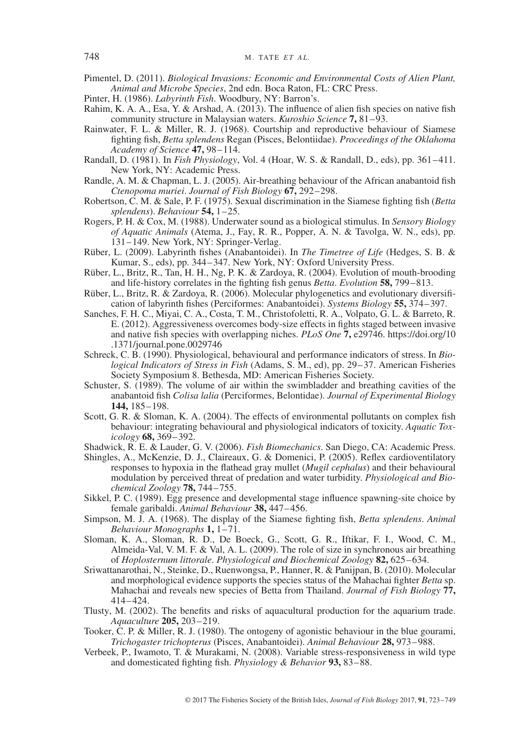- Pimentel, D. (2011). *Biological Invasions: Economic and Environmental Costs of Alien Plant, Animal and Microbe Species*, 2nd edn. Boca Raton, FL: CRC Press.
- Pinter, H. (1986). *Labyrinth Fish*. Woodbury, NY: Barron's.
- Rahim, K. A. A., Esa, Y. & Arshad, A. (2013). The influence of alien fish species on native fish community structure in Malaysian waters. *Kuroshio Science* **7,** 81–93.
- Rainwater, F. L. & Miller, R. J. (1968). Courtship and reproductive behaviour of Siamese ighting ish, *Betta splendens* Regan (Pisces, Belontiidae). *Proceedings of the Oklahoma Academy of Science* **47,** 98–114.
- Randall, D. (1981). In *Fish Physiology*, Vol. 4 (Hoar, W. S. & Randall, D., eds), pp. 361–411. New York, NY: Academic Press.
- Randle, A. M. & Chapman, L. J. (2005). Air-breathing behaviour of the African anabantoid ish *Ctenopoma muriei*. *Journal of Fish Biology* **67,** 292–298.
- Robertson, C. M. & Sale, P. F. (1975). Sexual discrimination in the Siamese ighting ish (*Betta splendens*). *Behaviour* **54,** 1–25.
- Rogers, P. H. & Cox, M. (1988). Underwater sound as a biological stimulus. In *Sensory Biology of Aquatic Animals* (Atema, J., Fay, R. R., Popper, A. N. & Tavolga, W. N., eds), pp. 131–149. New York, NY: Springer-Verlag.
- Rüber, L. (2009). Labyrinth ishes (Anabantoidei). In *The Timetree of Life* (Hedges, S. B. & Kumar, S., eds), pp. 344–347. New York, NY: Oxford University Press.
- Rüber, L., Britz, R., Tan, H. H., Ng, P. K. & Zardoya, R. (2004). Evolution of mouth-brooding and life-history correlates in the ighting ish genus *Betta*. *Evolution* **58,** 799–813.
- Rüber, L., Britz, R. & Zardoya, R. (2006). Molecular phylogenetics and evolutionary diversiication of labyrinth ishes (Perciformes: Anabantoidei). *Systems Biology* **55,** 374–397.
- Sanches, F. H. C., Miyai, C. A., Costa, T. M., Christofoletti, R. A., Volpato, G. L. & Barreto, R. E. (2012). Aggressiveness overcomes body-size effects in ights staged between invasive and native ish species with overlapping niches. *PLoS One* **7,** e29746. [https://doi.org/10](https://doi.org/10.1371/journal.pone.0029746) [.1371/journal.pone.0029746](https://doi.org/10.1371/journal.pone.0029746)
- Schreck, C. B. (1990). Physiological, behavioural and performance indicators of stress. In *Biological Indicators of Stress in Fish* (Adams, S. M., ed), pp. 29–37. American Fisheries Society Symposium 8. Bethesda, MD: American Fisheries Society.
- Schuster, S. (1989). The volume of air within the swimbladder and breathing cavities of the anabantoid ish *Colisa lalia* (Perciformes, Belontidae). *Journal of Experimental Biology* **144,** 185–198.
- Scott, G. R. & Sloman, K. A. (2004). The effects of environmental pollutants on complex fish behaviour: integrating behavioural and physiological indicators of toxicity. *Aquatic Toxicology* **68,** 369–392.
- Shadwick, R. E. & Lauder, G. V. (2006). *Fish Biomechanics*. San Diego, CA: Academic Press.
- Shingles, A., McKenzie, D. J., Claireaux, G. & Domenici, P. (2005). Relex cardioventilatory responses to hypoxia in the lathead gray mullet (*Mugil cephalus*) and their behavioural modulation by perceived threat of predation and water turbidity. *Physiological and Biochemical Zoology* **78,** 744–755.
- Sikkel, P. C. (1989). Egg presence and developmental stage inluence spawning-site choice by female garibaldi. *Animal Behaviour* **38,** 447–456.
- Simpson, M. J. A. (1968). The display of the Siamese ighting ish, *Betta splendens*. *Animal Behaviour Monographs* **1,** 1–71.
- Sloman, K. A., Sloman, R. D., De Boeck, G., Scott, G. R., Iftikar, F. I., Wood, C. M., Almeida-Val, V. M. F. & Val, A. L. (2009). The role of size in synchronous air breathing of *Hoplosternum littorale*. *Physiological and Biochemical Zoology* **82,** 625–634.
- Sriwattanarothai, N., Steinke, D., Ruenwongsa, P., Hanner, R. & Panijpan, B. (2010). Molecular and morphological evidence supports the species status of the Mahachai ighter *Betta* sp. Mahachai and reveals new species of Betta from Thailand. *Journal of Fish Biology* **77,** 414–424.
- Tlusty, M. (2002). The beneits and risks of aquacultural production for the aquarium trade. *Aquaculture* **205,** 203–219.
- Tooker, C. P. & Miller, R. J. (1980). The ontogeny of agonistic behaviour in the blue gourami, *Trichogaster trichopterus* (Pisces, Anabantoidei). *Animal Behaviour* **28,** 973–988.
- Verbeek, P., Iwamoto, T. & Murakami, N. (2008). Variable stress-responsiveness in wild type and domesticated ighting ish. *Physiology & Behavior* **93,** 83–88.